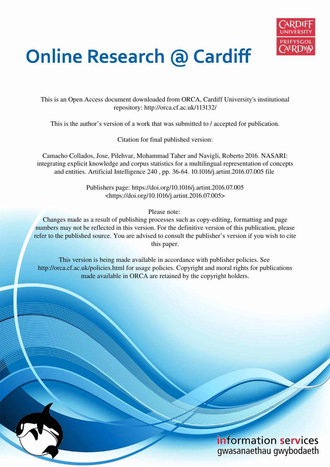

# **Online Research @ Cardiff**

This is an Open Access document downloaded from ORCA, Cardiff University's institutional repository: http://orca.cf.ac.uk/113132/

This is the author's version of a work that was submitted to / accepted for publication.

Citation for final published version:

Camacho Collados, Jose, Pilehvar, Mohammad Taher and Navigli, Roberto 2016. NASARI: integrating explicit knowledge and corpus statistics for a multilingual representation of concepts and entities. Artificial Intelligence 240 , pp. 36-64. 10.1016/j.artint.2016.07.005 file

> Publishers page: https://doi.org/10.1016/j.artint.2016.07.005 <https://doi.org/10.1016/j.artint.2016.07.005>

> > Please note:

Changes made as a result of publishing processes such as copy-editing, formatting and page numbers may not be reflected in this version. For the definitive version of this publication, please refer to the published source. You are advised to consult the publisher's version if you wish to cite this paper.

This version is being made available in accordance with publisher policies. See http://orca.cf.ac.uk/policies.html for usage policies. Copyright and moral rights for publications made available in ORCA are retained by the copyright holders.

## information services gwasanaethau gwybodaeth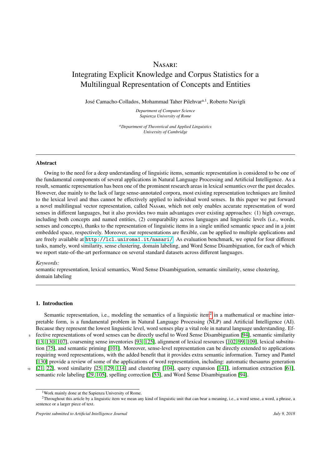### <span id="page-1-1"></span>Nasari: Integrating Explicit Knowledge and Corpus Statistics for a Multilingual Representation of Concepts and Entities

José Camacho-Collados, Mohammad Taher Pilehvar<sup>a, 1</sup>, Roberto Navigli

*Department of Computer Science Sapienza University of Rome*

*<sup>a</sup>Department of Theoretical and Applied Linguistics University of Cambridge*

#### Abstract

Owing to the need for a deep understanding of linguistic items, semantic representation is considered to be one of the fundamental components of several applications in Natural Language Processing and Artificial Intelligence. As a result, semantic representation has been one of the prominent research areas in lexical semantics over the past decades. However, due mainly to the lack of large sense-annotated corpora, most existing representation techniques are limited to the lexical level and thus cannot be effectively applied to individual word senses. In this paper we put forward a novel multilingual vector representation, called Nasari, which not only enables accurate representation of word senses in different languages, but it also provides two main advantages over existing approaches: (1) high coverage, including both concepts and named entities, (2) comparability across languages and linguistic levels (i.e., words, senses and concepts), thanks to the representation of linguistic items in a single unified semantic space and in a joint embedded space, respectively. Moreover, our representations are flexible, can be applied to multiple applications and are freely available at <http://lcl.uniroma1.it/nasari/>. As evaluation benchmark, we opted for four different tasks, namely, word similarity, sense clustering, domain labeling, and Word Sense Disambiguation, for each of which we report state-of-the-art performance on several standard datasets across different languages.

#### *Keywords:*

semantic representation, lexical semantics, Word Sense Disambiguation, semantic similarity, sense clustering, domain labeling

#### 1. Introduction

Semantic representation, i.e., modeling the semantics of a linguistic item<sup>[2](#page-1-0)</sup> in a mathematical or machine interpretable form, is a fundamental problem in Natural Language Processing (NLP) and Artificial Intelligence (AI). Because they represent the lowest linguistic level, word senses play a vital role in natural language understanding. Ef-<sup>5</sup> fective representations of word senses can be directly useful to Word Sense Disambiguation [\[94\]](#page-33-0), semantic similarity [\[13,](#page-31-0) [130,](#page-35-0) [107\]](#page-34-0), coarsening sense inventories [\[93,](#page-33-1) [125\]](#page-34-1), alignment of lexical resources [\[102,](#page-34-2) [99,](#page-34-3) [109\]](#page-34-4), lexical substitution [\[75\]](#page-33-2), and semantic priming [\[101\]](#page-34-5). Moreover, sense-level representation can be directly extended to applications requiring word representations, with the added benefit that it provides extra semantic information. Turney and Pantel [\[130\]](#page-35-0) provide a review of some of the applications of word representation, including: automatic thesaurus generation  $[21, 22]$  $[21, 22]$ , word similarity  $[25, 129, 114]$  $[25, 129, 114]$  $[25, 129, 114]$  and clustering  $[104]$ , query expansion  $[141]$ , information extraction  $[61]$ ,

semantic role labeling [\[29,](#page-32-1) [105\]](#page-34-8), spelling correction [\[53\]](#page-32-2), and Word Sense Disambiguation [\[94\]](#page-33-0).

<span id="page-1-0"></span><sup>&</sup>lt;sup>1</sup>Work mainly done at the Sapienza University of Rome.

<sup>&</sup>lt;sup>2</sup>Throughout this article by a linguistic item we mean any kind of linguistic unit that can bear a meaning, i.e., a word sense, a word, a phrase, a sentence or a larger piece of text.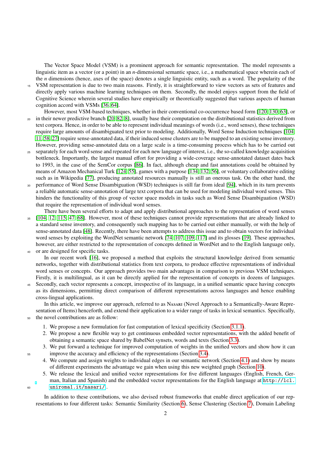The Vector Space Model (VSM) is a prominent approach for semantic representation. The model represents a linguistic item as a vector (or a point) in an *n*-dimensional semantic space, i.e., a mathematical space wherein each of the *n* dimensions (hence, axes of the space) denotes a single linguistic entity, such as a word. The popularity of the

- <sup>15</sup> VSM representation is due to two main reasons. Firstly, it is straightforward to view vectors as sets of features and directly apply various machine learning techniques on them. Secondly, the model enjoys support from the field of Cognitive Science wherein several studies have empirically or theoretically suggested that various aspects of human cognition accord with VSMs [\[36,](#page-32-3) [64\]](#page-33-4).
- However, most VSM-based techniques, whether in their conventional co-occurrence based form [\[120,](#page-34-9) [130,](#page-35-0) [63\]](#page-33-5), or <sup>20</sup> in their newer predictive branch [\[20,](#page-31-3) [82,](#page-33-6) [8\]](#page-31-4), usually base their computation on the distributional statistics derived from text corpora. Hence, in order to be able to represent individual meanings of words (i.e., word senses), these techniques require large amounts of disambiguated text prior to modeling. Additionally, Word Sense Induction techniques [\[104,](#page-34-7) [11,](#page-31-5) [58,](#page-32-4) [27\]](#page-32-5) require sense-annotated data, if their induced sense clusters are to be mapped to an existing sense inventory. However, providing sense-annotated data on a large scale is a time-consuming process which has to be carried out
- <sup>25</sup> separately for each word sense and repeated for each new language of interest, i.e., the so-called knowledge acquisition bottleneck. Importantly, the largest manual effort for providing a wide-coverage sense-annotated dataset dates back to 1993, in the case of the SemCor corpus [\[86\]](#page-33-7). In fact, although cheap and fast annotations could be obtained by means of Amazon Mechanical Turk [\[124,](#page-34-10) [55\]](#page-32-6), games with a purpose [\[134,](#page-35-3) [132,](#page-35-4) [56\]](#page-32-7), or voluntary collaborative editing such as in Wikipedia [\[77\]](#page-33-8), producing annotated resources manually is still an onerous task. On the other hand, the
- <sup>30</sup> performance of Word Sense Disambiguation (WSD) techniques is still far from ideal [\[94\]](#page-33-0), which in its turn prevents a reliable automatic sense-annotation of large text corpora that can be used for modeling individual word senses. This hinders the functionality of this group of vector space models in tasks such as Word Sense Disambiguation (WSD) that require the representation of individual word senses.

There have been several efforts to adapt and apply distributional approaches to the representation of word senses

- <sup>35</sup> [\[104,](#page-34-7) [12,](#page-31-6) [115,](#page-34-11) [47,](#page-32-8) [68\]](#page-33-9). However, most of these techniques cannot provide representations that are already linked to a standard sense inventory, and consequently such mapping has to be carried out either manually, or with the help of sense-annotated data [\[48\]](#page-32-9). Recently, there have been attempts to address this issue and to obtain vectors for individual word senses by exploiting the WordNet semantic network [\[74,](#page-33-10) [107,](#page-34-0) [109,](#page-34-4) [117\]](#page-34-12) and its glosses [\[19\]](#page-31-7). These approaches, however, are either restricted to the representation of concepts defined in WordNet and to the English language only,
- <sup>40</sup> or are designed for specific tasks.

In our recent work [\[16\]](#page-31-8), we proposed a method that exploits the structural knowledge derived from semantic networks, together with distributional statistics from text corpora, to produce effective representations of individual word senses or concepts. Our approach provides two main advantages in comparison to previous VSM techniques. Firstly, it is multilingual, as it can be directly applied for the representation of concepts in dozens of languages.

<sup>45</sup> Secondly, each vector represents a concept, irrespective of its language, in a unified semantic space having concepts as its dimensions, permitting direct comparison of different representations across languages and hence enabling cross-lingual applications.

In this article, we improve our approach, referred to as Nasari (Novel Approach to a Semantically-Aware Representation of Items) henceforth, and extend their application to a wider range of tasks in lexical semantics. Specifically, <sup>50</sup> the novel contributions are as follow:

- 1. We propose a new formulation for fast computation of lexical specificity (Section [3.1.1\)](#page-5-0).
	- 2. We propose a new flexible way to get continuous embedded vector representations, with the added benefit of obtaining a semantic space shared by BabelNet synsets, words and texts (Section [3.3\)](#page-7-0).
- 3. We put forward a technique for improved computation of weights in the unified vectors and show how it can <sup>55</sup> improve the accuracy and efficiency of the representations (Section [3.4\)](#page-7-1).
	- 4. We compute and assign weights to individual edges in our semantic network (Section [4.1\)](#page-9-0) and show by means of different experiments the advantage we gain when using this new weighted graph (Section [10\)](#page-27-0).
- 5. We release the lexical and unified vector representations for five different languages (English, French, German, Italian and Spanish) and the embedded vector representations for the English language at [http://lcl.](http://lcl.uniroma1.it/nasari/) <sup>60</sup> [uniroma1.it/nasari/](http://lcl.uniroma1.it/nasari/) .

In addition to these contributions, we also devised robust frameworks that enable direct application of our representations to four different tasks: Semantic Similarity (Section [6\)](#page-12-0), Sense Clustering (Section [7\)](#page-17-0), Domain Labeling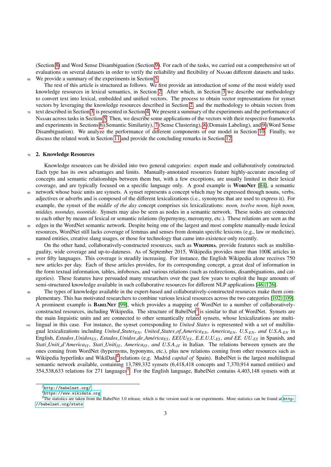(Section [8\)](#page-19-0) and Word Sense Disambiguation (Section [9\)](#page-23-0). For each of the tasks, we carried out a comprehensive set of evaluations on several datasets in order to verify the reliability and flexibility of Nasari different datasets and tasks. <sup>65</sup> We provide a summary of the experiments in Section [5.](#page-11-0)

The rest of this article is structured as follows. We first provide an introduction of some of the most widely used knowledge resources in lexical semantics, in Section [2.](#page-3-0) After which, in Section [3](#page-4-0) we describe our methodology to convert text into lexical, embedded and unified vectors. The process to obtain vector representations for synset vectors by leveraging the knowledge resources described in Section [2,](#page-3-0) and the methodology to obtain vectors from

 $\sigma$  text described in Section [3,](#page-4-0) is presented in Section [4.](#page-9-1) We present a summary of the experiments and the performance of Nasari across tasks in Section [5.](#page-11-0) Then, we describe some applications of the vectors with their respective frameworks and experiments in Sections [6](#page-12-0) (Semantic Similarity), [7](#page-17-0) (Sense Clustering), [8](#page-19-0) (Domain Labeling), and [9](#page-23-0) (Word Sense Disambiguation). We analyze the performance of different components of our model in Section [10.](#page-27-0) Finally, we discuss the related work in Section [11](#page-28-0) and provide the concluding remarks in Section [12.](#page-30-0)

#### <span id="page-3-0"></span><sup>75</sup> 2. Knowledge Resources

Knowledge resources can be divided into two general categories: expert made and collaboratively constructed. Each type has its own advantages and limits. Manually-annotated resources feature highly-accurate encoding of concepts and semantic relationships between them but, with a few exceptions, are usually limited in their lexical coverage, and are typically focused on a specific language only. A good example is WORDNET [\[84\]](#page-33-11), a semantic <sup>80</sup> network whose basic units are synsets. A synset represents a concept which may be expressed through nouns, verbs, adjectives or adverbs and is composed of the different lexicalizations (i.e., synonyms that are used to express it). For example, the synset of the *middle of the day* concept comprises six lexicalizations: *noon, twelve noon, high noon,*

*midday, noonday, noontide*. Synsets may also be seen as nodes in a semantic network. These nodes are connected to each other by means of lexical or semantic relations (hypernymy, meronymy, etc.). These relations are seen as the <sup>85</sup> edges in the WordNet semantic network. Despite being one of the largest and most complete manually-made lexical resources, WordNet still lacks coverage of lemmas and senses from domain specific lexicons (e.g., law or medicine), named entities, creative slang usages, or those for technology that came into existence only recently.

On the other hand, collaboratively-constructed resources, such as WIKIPEDIA, provide features such as multilinguality, wide coverage and up-to-dateness. As of September 2015, Wikipedia provides more than 100K articles in <sup>90</sup> over fifty languages. This coverage is steadily increasing. For instance, the English Wikipedia alone receives 750 new articles per day. Each of these articles provides, for its corresponding concept, a great deal of information in the form textual information, tables, infoboxes, and various relations (such as redirections, disambiguations, and categories). These features have persuaded many researchers over the past few years to exploit the huge amounts of semi-structured knowledge available in such collaborative resources for different NLP applications [\[46,](#page-32-10) [126\]](#page-34-13).

- <sup>95</sup> The types of knowledge available in the expert-based and collaboratively-constructed resources make them complementary. This has motivated researchers to combine various lexical resources across the two categories [\[102,](#page-34-2) [109\]](#page-34-4). A prominent example is BabelNet [\[99\]](#page-34-3), which provides a mapping of WordNet to a number of collaboratively-constructed resources, including Wikipedia. The structure of BabelNet<sup>[3](#page-3-1)</sup> is similar to that of WordNet. Synsets are the main linguistic units and are connected to other semantically related synsets, whose lexicalizations are multi-
- <sup>100</sup> lingual in this case. For instance, the synset corresponding to *United States* is represented with a set of multilingual lexicalizations including *United*  $States_{EN}$ *, United*  $States_{N}$  *America<sub>EN</sub>, America<sub>EN</sub>, U.S.<sub>EN</sub>, and U.S.A.EN* in English, *Estados UnidosES , Estados Unidos de Am´ericaES , EEUUES , E.E.U.U.ES , and EE. UU.ES* in Spanish, and *Stati Uniti d'AmericaIT , Stati UnitiIT , AmericaIT , and U.S.A.IT* in Italian. The relations between synsets are the ones coming from WordNet (hypernyms, hyponyms, etc.), plus new relations coming from other resources such as
- 105 Wikipedia hyperlinks and WikiData<sup>[4](#page-3-2)</sup> relations (e.g. Madrid *capital of* Spain). BabelNet is the largest multilingual semantic network available, containing 13,789,332 synsets (6,418,418 concepts and 7,370,914 named entities) and 3[5](#page-3-3)4,538,633 relations for 271 languages<sup>5</sup>. For the English language, BabelNet contains 4,403,148 synsets with at

<span id="page-3-1"></span> $3$ <http://babelnet.org/>

<span id="page-3-3"></span><span id="page-3-2"></span><sup>4</sup><https://www.wikidata.org>

<sup>5</sup>The statistics are taken from the BabelNet 3.0 release, which is the version used in our experiments. More statistics can be found at [http:](http://babelnet.org/stats) [//babelnet.org/stats](http://babelnet.org/stats)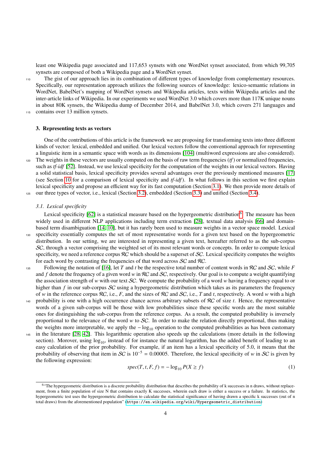least one Wikipedia page associated and 117,653 synsets with one WordNet synset associated, from which 99,705 synsets are composed of both a Wikipedia page and a WordNet synset.

<sup>110</sup> The gist of our approach lies in its combination of different types of knowledge from complementary resources. Specifically, our representation approach utilizes the following sources of knowledge: lexico-semantic relations in WordNet, BabelNet's mapping of WordNet synsets and Wikipedia articles, texts within Wikipedia articles and the inter-article links of Wikipedia. In our experiments we used WordNet 3.0 which covers more than 117K unique nouns in about 80K synsets, the Wikipedia dump of December 2014, and BabelNet 3.0, which covers 271 languages and <sup>115</sup> contains over 13 million synsets.

#### <span id="page-4-0"></span>3. Representing texts as vectors

One of the contributions of this article is the framework we are proposing for transforming texts into three different kinds of vector: lexical, embedded and unified. Our lexical vectors follow the conventional approach for representing a linguistic item in a semantic space with words as its dimensions [\[104\]](#page-34-7) (multiword expressions are also considered).

 $120$  The weights in these vectors are usually computed on the basis of raw term frequencies (*tf*) or normalized frequencies, such as *tf-idf* [\[52\]](#page-32-11). Instead, we use lexical specificity for the computation of the weights in our lexical vectors. Having a solid statistical basis, lexical specificity provides several advantages over the previously mentioned measures [\[17\]](#page-31-9) (see Section [10](#page-27-0) for a comparison of lexical specificity and *tf-idf*). In what follows in this section we first explain lexical specificity and propose an efficient way for its fast computation (Section [3.1\)](#page-4-1). We then provide more details of

<sup>125</sup> our three types of vector, i.e., lexical (Section [3.2\)](#page-6-0), embedded (Section [3.3\)](#page-7-0) and unified (Section [3.4\)](#page-7-1).

#### <span id="page-4-1"></span>*3.1. Lexical specificity*

Lexical specificity [\[62\]](#page-33-12) is a statistical measure based on the hypergeometric distribution<sup>[6](#page-4-2)</sup>. The measure has been widely used in different NLP applications including term extraction [\[28\]](#page-32-12), textual data analysis [\[66\]](#page-33-13) and domainbased term disambiguation [\[14,](#page-31-10) [10\]](#page-31-11), but it has rarely been used to measure weights in a vector space model. Lexical specificity essentially computes the set of most representative words for a given text based on the hypergeometric distribution. In our setting, we are interested in representing a given text, hereafter referred to as the sub-corpus

SC, through a vector comprising the weighted set of its most relevant words or concepts. In order to compute lexical specificity, we need a reference corpus RC which should be a superset of  $SC$ . Lexical specificity computes the weights for each word by contrasting the frequencies of that word across SC and RC.

- Following the notation of [\[16\]](#page-31-8), let *T* and *t* be the respective total number of content words in RC and SC, while *F* and *f* denote the frequency of a given word *w* in RC and SC, respectively. Our goal is to compute a weight quantifying the association strength of *w* with our text SC. We compute the probability of a word *w* having a frequency equal to or higher than *f* in our sub-corpus *SC* using a hypergeometric distribution which takes as its parameters the frequency of *w* in the reference corpus RC, i.e., *F*, and the sizes of RC and SC, i.e., *T* and *t*, respectively. A word *w* with a high
- <sup>140</sup> probability is one with a high occurrence chance across arbitrary subsets of RC of size *t*. Hence, the representative words of a given sub-corpus will be those with low probabilities since these specific words are the most suitable ones for distinguishing the sub-corpus from the reference corpus. As a result, the computed probability is inversely proportional to the relevance of the word *w* to SC. In order to make the relation directly proportional, thus making the weights more interpretable, we apply the  $-\log_{10}$  operation to the computed probabilities as has been customary
- in the literature [\[28,](#page-32-12) [42\]](#page-32-13). This logarithmic operation also speeds up the calculations (more details in the following section). Morover, using  $\log_{10}$ , instead of for instance the natural logarithm, has the added benefit of leading to an easy calculation of the prior probability. For example, if an item has a lexical specificity of 5.0, it means that the probability of observing that item in SC is 10<sup>−</sup><sup>5</sup> = 0.00005. Therefore, the lexical specificity of *w* in SC is given by the following expression:

<span id="page-4-3"></span>
$$
spec(T, t, F, f) = -\log_{10} P(X \ge f)
$$
\n<sup>(1)</sup>

<span id="page-4-2"></span><sup>&</sup>lt;sup>6</sup> The hypergeometric distribution is a discrete probability distribution that describes the probability of k successes in n draws, without replacement, from a finite population of size N that contains exactly K successes, wherein each draw is either a success or a failure. In statistics, the hypergeometric test uses the hypergeometric distribution to calculate the statistical significance of having drawn a specific k successes (out of n total draws) from the aforementioned population" ([https://en.wikipedia.org/wiki/Hypergeometric\\_distribution](https://en.wikipedia.org/wiki/Hypergeometric_distribution))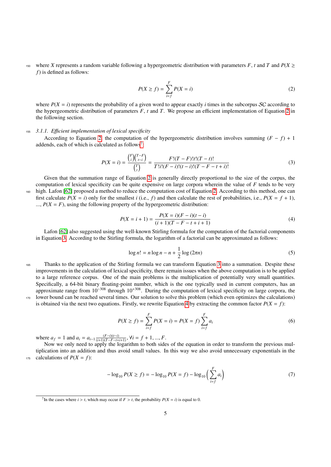<span id="page-5-1"></span>150 where *X* represents a random variable following a hypergeometric distribution with parameters *F*, *t* and *T* and  $P(X \geq 0)$ *f*) is defined as follows:

$$
P(X \ge f) = \sum_{i=f}^{F} P(X = i)
$$
\n<sup>(2)</sup>

where  $P(X = i)$  represents the probability of a given word to appear exactly *i* times in the subcorpus SC according to the hypergeometric distribution of parameters  $F$ ,  $t$  and  $T$ . We propose an efficient implementation of Equation [2](#page-5-1) in the following section.

#### <sup>155</sup> *3.1.1. E*ffi*cient implementation of lexical specificity*

<span id="page-5-3"></span><span id="page-5-0"></span>According to Equation [2,](#page-5-1) the computation of the hypergeometric distribution involves summing  $(F - f) + 1$ addends, each of which is calculated as follows<sup>[7](#page-5-2)</sup>:

$$
P(X = i) = \frac{{\binom{F}{i}} {\binom{T-F}{t-i}}}{{\binom{T}{t}}} = \frac{F!(T - F)!t!(T - t)!}{T!i!(F - i)!(t - i)!(T - F - t + i)!}
$$
(3)

Given that the summation range of Equation [2](#page-5-1) is generally directly proportional to the size of the corpus, the computation of lexical specificity can be quite expensive on large corpora wherein the value of *F* tends to be very <sup>160</sup> high. Lafon [\[62\]](#page-33-12) proposed a method to reduce the computation cost of Equation [2.](#page-5-1) According to this method, one can first calculate  $P(X = i)$  only for the smallest *i* (i.e., *f*) and then calculate the rest of probabilities, i.e.,  $P(X = f + 1)$ , ...,  $P(X = F)$ , using the following property of the hypergeometric distribution:

$$
P(X = i + 1) = \frac{P(X = i)(F - i)(t - i)}{(i + 1)(T - F - t + i + 1)}
$$
\n(4)

<span id="page-5-4"></span>Lafon [\[62\]](#page-33-12) also suggested using the well-known Stirling formula for the computation of the factorial components in Equation [3.](#page-5-3) According to the Stirling formula, the logarithm of a factorial can be approximated as follows:

$$
\log n! = n \log n - n + \frac{1}{2} \log (2\pi n)
$$
 (5)

<sup>165</sup> Thanks to the application of the Stirling formula we can transform Equation [3](#page-5-3) into a summation. Despite these improvements in the calculation of lexical specificity, there remain issues when the above computation is to be applied to a large reference corpus. One of the main problems is the multiplication of potentially very small quantities. Specifically, a 64-bit binary floating-point number, which is the one typically used in current computers, has an approximate range from  $10^{-308}$  through  $10^{+308}$ . During the computation of lexical specificity on large corpora, the <sup>170</sup> lower bound can be reached several times. Our solution to solve this problem (which even optimizes the calculations) is obtained via the next two equations. Firstly, we rewrite Equation [4](#page-5-4) by extracting the common factor  $P(X = f)$ :

> $P(X \ge f) = \sum_{r=1}^{F}$ *i*=*f*  $P(X = i) = P(X = f) \sum_{i=1}^{F}$ *i*=*f*  $a_i$  (6)

where  $a_f = 1$  and  $a_i = a_{i-1} \frac{(F-i)(t-i)}{(i+1)(T-F-t+i+1)}$ ,  $\forall i = f + 1, ..., F$ .

Now we only need to apply the logarithm to both sides of the equation in order to transform the previous multiplication into an addition and thus avoid small values. In this way we also avoid unnecessary exponentials in the 175 calculations of  $P(X = f)$ :

$$
-\log_{10} P(X \ge f) = -\log_{10} P(X = f) - \log_{10} \left( \sum_{i=f}^{F} a_i \right) \tag{7}
$$

<span id="page-5-2"></span><sup>&</sup>lt;sup>7</sup>In the cases where *i* > *t*, which may occur if  $F > t$ , the probability  $P(X = i)$  is equal to 0.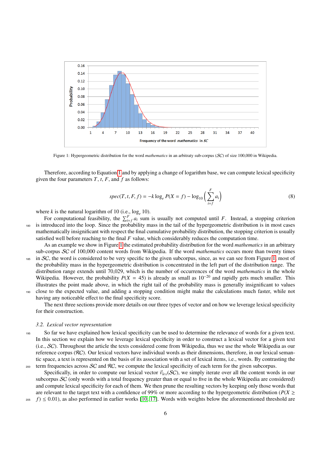

<span id="page-6-1"></span>Figure 1: Hypergeometric distribution for the word *mathematics* in an arbitraty sub-corpus (SC) of size 100,000 in Wikipedia.

Therefore, according to Equation [1](#page-4-3) and by applying a change of logarithm base, we can compute lexical specificity given the four parameters  $T$ ,  $t$ ,  $F$ , and  $f$  as follows:

$$
spec(T, t, F, f) = -k \log_e P(X = f) - \log_{10}\left(\sum_{i=f}^{F} a_i\right)
$$
\n
$$
(8)
$$

where *k* is the natural logarithm of 10 (i.e.,  $\log_e 10$ ).

For computational feasibility, the  $\sum_{i=f}^{F} a_i$  sum is usually not computed until *F*. Instead, a stopping criterion <sup>180</sup> is introduced into the loop. Since the probability mass in the tail of the hypergeometric distribution is in most cases mathematically insignificant with respect the final cumulative probability distribution, the stopping criterion is usually satisfied well before reaching to the final *F* value, which considerably reduces the computation time.

As an example we show in Figure [1](#page-6-1) the estimated probability distribution for the word *mathematics* in an arbitrary sub-corpus SC of 100,000 content words from Wikipedia. If the word *mathematics* occurs more than twenty times  $185$  in SC, the word is considered to be very specific to the given subcorpus, since, as we can see from Figure [1,](#page-6-1) most of the probability mass in the hypergeometric distribution is concentrated in the left part of the distribution range. The distribution range extends until 70,029, which is the number of occurrences of the word *mathematics* in the whole Wikipedia. However, the probability  $P(X = 45)$  is already as small as 10<sup>-20</sup> and rapidly gets much smaller. This illustrates the point made above, in which the right tail of the probability mass is generally insignificant to values <sup>190</sup> close to the expected value, and adding a stopping condition might make the calculations much faster, while not

having any noticeable effect to the final specificity score.

The next three sections provide more details on our three types of vector and on how we leverage lexical specificity for their construction.

#### <span id="page-6-0"></span>*3.2. Lexical vector representation*

<sup>195</sup> So far we have explained how lexical specificity can be used to determine the relevance of words for a given text. In this section we explain how we leverage lexical specificity in order to construct a lexical vector for a given text (i.e., SC). Throughout the article the texts considered come from Wikipedia, thus we use the whole Wikipedia as our reference corpus (RC). Our lexical vectors have individual words as their dimensions, therefore, in our lexical semantic space, a text is represented on the basis of its association with a set of lexical items, i.e., words. By contrasting the <sub>200</sub> term frequencies across  $SC$  and  $RC$ , we compute the lexical specificity of each term for the given subcorpus.

Specifically, in order to compute our lexical vector  $\vec{v}_{lex}(SC)$ , we simply iterate over all the content words in our subcorpus SC (only words with a total frequency greater than or equal to five in the whole Wikipedia are considered) and compute lexical specificity for each of them. We then prune the resulting vectors by keeping only those words that are relevant to the target text with a confidence of 99% or more according to the hypergeometric distribution ( $P(X \geq 1)$ 

 $_{205}$  *f*)  $\leq$  0.01), as also performed in earlier works [\[10,](#page-31-11) [17\]](#page-31-9). Words with weights below the aforementioned threshold are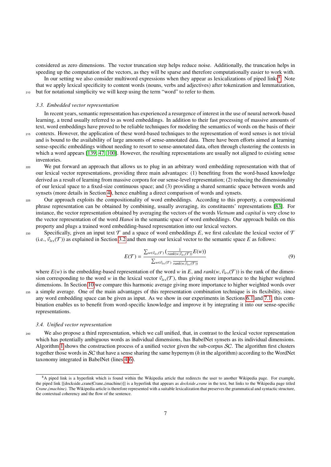considered as zero dimensions. The vector truncation step helps reduce noise. Additionally, the truncation helps in speeding up the computation of the vectors, as they will be sparse and therefore computationally easier to work with. In our setting we also consider multiword expressions when they appear as lexicalizations of piped links<sup>[8](#page-7-2)</sup>. Note that we apply lexical specificity to content words (nouns, verbs and adjectives) after tokenization and lemmatization, <sup>210</sup> but for notational simplicity we will keep using the term "word" to refer to them.

#### <span id="page-7-0"></span>*3.3. Embedded vector representation*

In recent years, semantic representation has experienced a resurgence of interest in the use of neural network-based learning, a trend usually referred to as word embeddings. In addition to their fast processing of massive amounts of text, word embeddings have proved to be reliable techniques for modeling the semantics of words on the basis of their

- <sup>215</sup> contexts. However, the application of these word-based techniques to the representation of word senses is not trivial and is bound to the availability of large amounts of sense-annotated data. There have been efforts aimed at learning sense-specific embeddings without needing to resort to sense-annotated data, often through clustering the contexts in which a word appears [\[139,](#page-35-5) [47,](#page-32-8) [100\]](#page-34-14). However, the resulting representations are usually not aligned to existing sense inventories.
- <sup>220</sup> We put forward an approach that allows us to plug in an arbitrary word embedding representation with that of our lexical vector representations, providing three main advantages: (1) benefiting from the word-based knowledge derived as a result of learning from massive corpora for our sense-level representation; (2) reducing the dimensionality of our lexical space to a fixed-size continuous space; and (3) providing a shared semantic space between words and synsets (more details in Section [4\)](#page-9-1), hence enabling a direct comparison of words and synsets.
- <sup>225</sup> Our approach exploits the compositionality of word embeddings. According to this property, a compositional phrase representation can be obtained by combining, usually averaging, its constituents' representations [\[83\]](#page-33-14). For instance, the vector representation obtained by averaging the vectors of the words *Vietnam* and *capital* is very close to the vector representation of the word *Hanoi* in the semantic space of word embeddings. Our approach builds on this property and plugs a trained word embedding-based representation into our lexical vectors.
- 230 Specifically, given an input text  $\mathcal T$  and a space of word embeddings E, we first calculate the lexical vector of  $\mathcal T$ (i.e.,  $\vec{v}_{lex}(\mathcal{T})$ ) as explained in Section [3.2](#page-6-0) and then map our lexical vector to the semantic space *E* as follows:

$$
E(\mathcal{T}) = \frac{\sum_{w \in \vec{v}_{lex}(\mathcal{T})} \left( \frac{1}{rank(w, \vec{v}_{lex}(\mathcal{T}))} E(w) \right)}{\sum_{w \in \vec{v}_{lex}(\mathcal{T})} \frac{1}{rank(w, \vec{v}_{lex}(\mathcal{T}))}}
$$
(9)

where  $E(w)$  is the embedding-based representation of the word *w* in *E*, and *rank*(*w*,  $\vec{v}_{lex}(\mathcal{T})$ ) is the rank of the dimension corresponding to the word *w* in the lexical vector  $\vec{v}_{\ell e x}(\mathcal{T})$ , thus giving more importance to the higher weighted dimensions. In Section [10](#page-27-0) we compare this harmonic average giving more importance to higher weighted words over <sup>235</sup> a simple average. One of the main advantages of this representation combination technique is its flexibility, since any word embedding space can be given as input. As we show in our experiments in Sections [6.1](#page-13-0) and [7.1,](#page-18-0) this combination enables us to benefit from word-specific knowledge and improve it by integrating it into our sense-specific representations.

#### <span id="page-7-1"></span>*3.4. Unified vector representation*

<sup>240</sup> We also propose a third representation, which we call unified, that, in contrast to the lexical vector representation which has potentially ambiguous words as individual dimensions, has BabelNet synsets as its individual dimensions. Algorithm [1](#page-8-0) shows the construction process of a unified vector given the sub-corpus SC. The algorithm first clusters together those words in SC that have a sense sharing the same hypernym (*h* in the algorithm) according to the WordNet taxonomy integrated in BabelNet (lines [4](#page-8-1)[-6\)](#page-8-2).

<span id="page-7-2"></span><sup>&</sup>lt;sup>8</sup>A piped link is a hyperlink which is found within the Wikipedia article that redirects the user to another Wikipedia page. For example, the piped link [[dockside crane|Crane (machine)]] is a hyperlink that appears as *dockside crane* in the text, but links to the Wikipedia page titled *Crane (machine)*. The Wikipedia article is therefore represented with a suitable lexicalization that preserves the grammatical and syntactic structure, the contextual coherency and the flow of the sentence.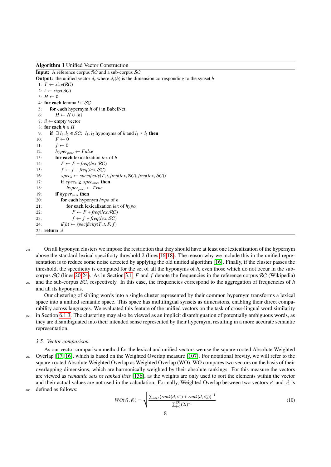Algorithm 1 Unified Vector Construction

<span id="page-8-2"></span><span id="page-8-1"></span><span id="page-8-0"></span>Input: A reference corpus RC and a sub-corpus SC **Output:** the unified vector  $\vec{u}_s$  where  $\vec{u}_s(h)$  is the dimension corresponding to the synset *h* 1:  $T$  ← *size*( $RC$ ) 2:  $t \leftarrow size(\mathcal{SC})$ 3:  $H \leftarrow \emptyset$ 4: for each lemma  $l \in \mathcal{SC}$ 5: for each hypernym *h* of *l* in BabelNet 6:  $H \leftarrow H \cup \{h\}$ 7:  $\vec{u}$  ← empty vector 8: for each  $h \in H$ 9: **if**  $\exists l_1, l_2 \in \mathcal{SC}$ :  $l_1, l_2$  hyponyms of *h* and  $l_1 \neq l_2$  then 10:  $F \leftarrow 0$ 11:  $f \leftarrow 0$ 12:  $hyper_{pass} \leftarrow False$ 13: for each lexicalization *lex* of *h* 14:  $F \leftarrow F + \text{freq}(lex, RC)$ 15:  $f \leftarrow f + \text{freq}(lex, SC)$ 16:  $spec_h \leftarrow specificity(T, t, freq(lex, RC), freq(lex, SC))$ 17: **if**  $spec_h \geq spec_{thres}$  then 18: *hyper<sub>pass</sub>*  $\leftarrow$  *True* 19: if *hyperpass* then 20: for each hyponym *hypo* of *h* 21: for each lexicalization *lex* of *hypo* 22:  $F \leftarrow F + \text{freq}(lex, \mathcal{RC})$ 23:  $f \leftarrow f + \text{freq}(lex, SC)$ 24:  $\vec{u}(h) \leftarrow \text{specificity}(T, t, F, f)$ 25: return  $\vec{u}$ 

<span id="page-8-6"></span><span id="page-8-5"></span><span id="page-8-4"></span><span id="page-8-3"></span><sup>245</sup> On all hyponym clusters we impose the restriction that they should have at least one lexicalization of the hypernym above the standard lexical specificity threshold 2 (lines [16-](#page-8-3)[18\)](#page-8-4). The reason why we include this in the unified representation is to reduce some noise detected by applying the old unified algorithm [\[16\]](#page-31-8). Finally, if the cluster passes the threshold, the specificity is computed for the set of all the hyponyms of *h*, even those which do not occur in the subcorpus SC (lines [20](#page-8-5)[-24\)](#page-8-6). As in Section [3.1,](#page-4-1) *F* and *f* denote the frequencies in the reference corpus RC (Wikipedia) <sup>250</sup> and the sub-corpus SC, respectively. In this case, the frequencies correspond to the aggregation of frequencies of *h*

and all its hyponyms.

Our clustering of sibling words into a single cluster represented by their common hypernym transforms a lexical space into a unified semantic space. This space has multilingual synsets as dimensions, enabling their direct comparability across languages. We evaluated this feature of the unified vectors on the task of cross-lingual word similarity

<sup>255</sup> in Section [6.1.3.](#page-16-0) The clustering may also be viewed as an implicit disambiguation of potentially ambiguous words, as they are disambiguated into their intended sense represented by their hypernym, resulting in a more accurate semantic representation.

#### <span id="page-8-7"></span>*3.5. Vector comparison*

As our vector comparison method for the lexical and unified vectors we use the square-rooted Absolute Weighted <sup>260</sup> Overlap [\[17,](#page-31-9) [16\]](#page-31-8), which is based on the Weighted Overlap measure [\[107\]](#page-34-0). For notational brevity, we will refer to the square-rooted Absolute Weighted Overlap as Weighted Overlap (WO). WO compares two vectors on the basis of their overlapping dimensions, which are harmonically weighted by their absolute rankings. For this measure the vectors are viewed as *semantic sets* or *ranked lists* [\[136\]](#page-35-6), as the weights are only used to sort the elements within the vector and their actual values are not used in the calculation. Formally, Weighted Overlap between two vectors  $\vec{v}_1^*$  and  $\vec{v}_2^*$  is <sup>265</sup> defined as follows:

$$
WO(\vec{v_1}, \vec{v_2}) = \sqrt{\frac{\sum_{d \in O} (rank(d, \vec{v_1}) + rank(d, \vec{v_2}))^{-1}}{\sum_{i=1}^{|O|} (2i)^{-1}}}
$$
(10)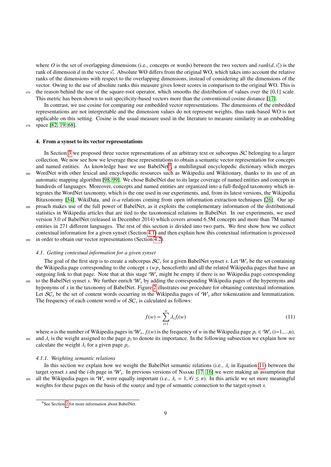where *O* is the set of overlapping dimensions (i.e., concepts or words) between the two vectors and  $rank(d, \vec{v_i})$  is the rank of dimension *d* in the vector  $\vec{v_i}$ . Absolute WO differs from the original WO, which takes into account the relative ranks of the dimensions with respect to the overlapping dimensions, instead of considering all the dimensions of the vector. Owing to the use of absolute ranks this measure gives lower scores in comparison to the original WO. This is <sub>270</sub> the reason behind the use of the square-root operator, which smooths the distribution of values over the [0,1] scale.

This metric has been shown to suit specificity-based vectors more than the conventional cosine distance [\[17\]](#page-31-9). In contrast, we use cosine for comparing our embedded vector representations. The dimensions of the embedded representations are not interpretable and the dimension values do not represent weights, thus rank-based WO is not applicable on this setting. Cosine is the usual measure used in the literature to measure similarity in an embedding

<sup>275</sup> space [\[82,](#page-33-6) [19,](#page-31-7) [68\]](#page-33-9).

#### <span id="page-9-1"></span>4. From a synset to its vector representations

In Section [3](#page-4-0) we proposed three vector representations of an arbitrary text or subcorpus SC belonging to a larger collection. We now see how we leverage these representations to obtain a semantic vector representation for concepts and named entities. As knowledge base we use BabelNet<sup>[9](#page-9-2)</sup>, a multilingual encyclopedic dictionary which merges

- <sup>280</sup> WordNet with other lexical and encyclopedic resources such as Wikipedia and Wiktionary, thanks to its use of an automatic mapping algorithm [\[98,](#page-34-15) [99\]](#page-34-3). We chose BabelNet due to its large coverage of named entities and concepts in hundreds of languages. Moreover, concepts and named entities are organized into a full-fledged taxonomy which integrates the WordNet taxonomy, which is the one used in our experiments, and, from its latest versions, the Wikipedia Bitaxonomy [\[34\]](#page-32-14), WikiData, and *is-a* relations coming from open information extraction techniques [\[26\]](#page-32-15). Our ap-
- <sup>285</sup> proach makes use of the full power of BabelNet, as it exploits the complementary information of the distributional statistics in Wikipedia articles that are tied to the taxonomical relations in BabelNet. In our experiments, we used version 3.0 of BabelNet (released in December 2014) which covers around 6.5M concepts and more than 7M named entities in 271 different languages. The rest of this section is divided into two parts. We first show how we collect contextual information for a given synset (Section [4.1\)](#page-9-0) and then explain how this contextual information is processed <sup>290</sup> in order to obtain our vector representations (Section [4.2\)](#page-10-0).

<span id="page-9-0"></span>*4.1. Getting contextual information for a given synset*

The goal of the first step is to create a subcorpus  $SC<sub>s</sub>$  for a given BabelNet synset *s*. Let  $W<sub>s</sub>$  be the set containing the Wikipedia page corresponding to the concept  $s (w p<sub>s</sub>$  henceforth) and all the related Wikipedia pages that have an outgoing link to that page. Note that at this stage  $W_s$  might be empty if there is no Wikipedia page corresponding 295 to the BabelNet synset *s*. We further enrich  $W_s$  by adding the corresponding Wikipedia pages of the hypernyms and hyponyms of *s* in the taxonomy of BabelNet. Figure [2](#page-10-1) illustrates our procedure for obtaining contextual information. Let  $SC<sub>s</sub>$  be the set of content words occurring in the Wikipedia pages of  $W<sub>s</sub>$  after tokenization and lemmatization. The frequency of each content word  $w$  of  $SC_s$  is calculated as follows:

$$
f(w) = \sum_{i=1}^{n} \lambda_i f_i(w) \tag{11}
$$

<span id="page-9-3"></span>where *n* is the number of Wikipedia pages in  $W_s$ ,  $f_i(w)$  is the frequency of *w* in the Wikipedia page  $p_i \in W_s$  (i=1,...,n),  $\lambda_i$  and  $\lambda_i$  is the weight assigned to the page  $p_i$  to denote its importance. In the following subsection we explain how we calculate the weight  $\lambda_i$  for a given page  $p_i$ .

#### <span id="page-9-4"></span>*4.1.1. Weighting semantic relations*

In this section we explain how we weight the BabelNet semantic relations (i.e.,  $\lambda_i$  in Equation [11\)](#page-9-3) between the target synset *s* and the *i*-th page in W*<sup>s</sup>* . In previous versions of Nasari [\[17,](#page-31-9) [16\]](#page-31-8) we were making an assumption that all the Wikipedia pages in  $W_s$  were equally important (i.e.,  $\lambda_i = 1, \forall i \leq n$ ). In this article we set more meaningful weights for these pages on the basis of the source and type of semantic connection to the target synset *s*.

<span id="page-9-2"></span><sup>&</sup>lt;sup>9</sup>See Section [2](#page-3-0) for more information about BabelNet.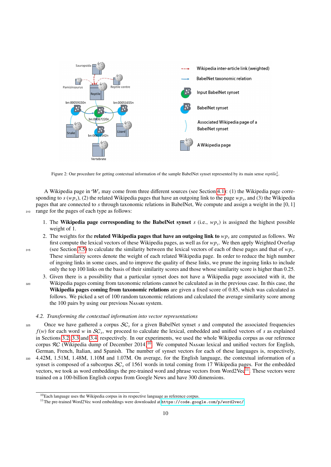

<span id="page-10-1"></span>Figure 2: Our procedure for getting contextual information of the sample BabelNet synset represented by its main sense *reptile*<sup>1</sup><sup>*n*</sup>.

A Wikipedia page in W*<sup>s</sup>* may come from three different sources (see Section [4.1\)](#page-9-0): (1) the Wikipedia page corresponding to *s* (*wps*), (2) the related Wikipedia pages that have an outgoing link to the page *wp<sup>s</sup>* , and (3) the Wikipedia pages that are connected to *s* through taxonomic relations in BabelNet, We compute and assign a weight in the [0, 1] <sup>310</sup> range for the pages of each type as follows:

- 
- 1. The Wikipedia page corresponding to the BabelNet synset  $s$  (i.e.,  $wp_s$ ) is assigned the highest possible weight of 1.
- 2. The weights for the **related Wikipedia pages that have an outgoing link to**  $wp_s$  are computed as follows. We first compute the lexical vectors of these Wikipedia pages, as well as for *wp<sup>s</sup>* . We then apply Weighted Overlap  $_{315}$  (see Section [3.5\)](#page-8-7) to calculate the similarity between the lexical vectors of each of these pages and that of  $wp_s$ . These similarity scores denote the weight of each related Wikipedia page. In order to reduce the high number of ingoing links in some cases, and to improve the quality of these links, we prune the ingoing links to include only the top 100 links on the basis of their similarity scores and those whose similarity score is higher than 0.25.
- 3. Given there is a possibility that a particular synset does not have a Wikipedia page associated with it, the <sup>320</sup> Wikipedia pages coming from taxonomic relations cannot be calculated as in the previous case. In this case, the Wikipedia pages coming from taxonomic relations are given a fixed score of 0.85, which was calculated as follows. We picked a set of 100 random taxonomic relations and calculated the average similarity score among the 100 pairs by using our previous Nasari system.

#### <span id="page-10-0"></span>*4.2. Transforming the contextual information into vector representations*

- $325$  Once we have gathered a corpus  $SC<sub>s</sub>$  for a given BabelNet synset *s* and computed the associated frequencies *f*(*w*) for each word *w* in SC*<sup>s</sup>* , we proceed to calculate the lexical, embedded and unified vectors of *s* as explained in Sections [3.2,](#page-6-0) [3.3](#page-7-0) and [3.4,](#page-7-1) respectively. In our experiments, we used the whole Wikipedia corpus as our reference corpus RC (Wikipedia dump of December 2014)<sup>[10](#page-10-2)</sup>. We computed Nasari lexical and unified vectors for English, German, French, Italian, and Spanish. The number of synset vectors for each of these languages is, respectively,
- <sup>330</sup> 4.42M, 1.51M, 1.48M, 1.10M and 1.07M. On average, for the English language, the contextual information of a synset is composed of a subcorpus SC*<sup>s</sup>* of 1561 words in total coming from 17 Wikipedia pages. For the embedded vectors, we took as word embeddings the pre-trained word and phrase vectors from Word2Vec<sup>[11](#page-10-3)</sup>. These vectors were trained on a 100-billion English corpus from Google News and have 300 dimensions.

<span id="page-10-2"></span><sup>10</sup>Each language uses the Wikipedia corpus in its respective language as reference corpus.

<span id="page-10-3"></span><sup>11</sup>The pre-trained Word2Vec word embeddings were downloaded at <https://code.google.com/p/word2vec/>.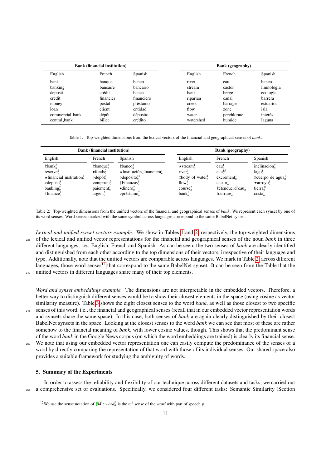|                 | <b>Bank</b> (financial institution) |            |           | <b>Bank</b> (geography) |            |  |  |
|-----------------|-------------------------------------|------------|-----------|-------------------------|------------|--|--|
| English         | French                              | Spanish    | English   | French                  | Spanish    |  |  |
| bank            | banque                              | banco      | river     | eau                     | banco      |  |  |
| banking         | bancaire                            | bancario   | stream    | castor                  | limnología |  |  |
| deposit         | crédit                              | banca      | bank      | berge                   | ecología   |  |  |
| credit          | financier                           | financiero | riparian  | canal                   | barrera    |  |  |
| money           | postal                              | préstamo   | creek     | barrage                 | estuarios  |  |  |
| loan            | client                              | entidad    | flow      | zone                    | isla       |  |  |
| commercial_bank | dépôt                               | déposito   | water     | perchlorate             | interés    |  |  |
| central bank    | billet                              | crédito    | watershed | humide                  | laguna     |  |  |

Table 1: Top-weighted dimensions from the lexical vectors of the financial and geographical senses of *bank*.

<span id="page-11-1"></span>

|                                            | <b>Bank</b> (financial institution) |                                             | <b>Bank</b> (geography)          |                                    |                                         |  |
|--------------------------------------------|-------------------------------------|---------------------------------------------|----------------------------------|------------------------------------|-----------------------------------------|--|
| English                                    | French                              | Spanish                                     | English                          | French                             | Spanish                                 |  |
| $\pm$ bank $\lambda_n^2$                   | $\pm$ banque $\pm$                  | $\pm$ banco $\pm$                           | $\star$ stream <sup>1</sup>      | $eau_n^1$                          | inclinación.                            |  |
| reserve <sub>n</sub> <sup>2</sup>          | $\bullet$ fonds <sup>2</sup>        | $\star$ Institución financiera <sup>1</sup> | river <sup>1</sup>               | eau $\frac{15}{1}$                 | lago <sub>n</sub> <sup>1</sup>          |  |
| $\star$ financial_institution <sup>1</sup> | $\circ$ dépôt $^{9}$                | $\triangle$ depósito <sup>15</sup>          | $\pm$ body_of_water $\cdot^1$    | excrément <sup>1</sup>             | $\ddagger$ cuerpo_de_agua $\frac{1}{n}$ |  |
| $\triangle$ deposit $_{n}^{8}$             | $\infty$ emprunt <sup>2</sup>       | $\dagger$ Finanzas <sup>1</sup>             | flow <sub>n</sub> <sup>1</sup>   | $\text{castor}^{\perp}_{\text{m}}$ | $\star$ arroyo <sup>1</sup>             |  |
| banking <sub>n</sub> <sup>2</sup>          | paiement <sub>r</sub> <sup>1</sup>  | $\bullet$ dinero $\frac{2}{n}$              | course <sub>n</sub> <sup>2</sup> | ‡étendue_d'eau <sup>1</sup>        | tierra <sup>11</sup>                    |  |
| $\dagger$ finance <sup>1</sup>             | $\arg$ ent <sup>2</sup>             | $\circ$ préstamo $\frac{2}{n}$              | $bank_n^1$                       | fourrure $\frac{1}{n}$             | $\text{costa}$ .                        |  |

<span id="page-11-2"></span>Table 2: Top-weighted dimensions from the unified vectors of the financial and geographical senses of *bank*. We represent each synset by one of its word senses. Word senses marked with the same symbol across languages correspond to the same BabelNet synset.

*Lexical and unified synset vectors example.* We show in Tables [1](#page-11-1) and [2,](#page-11-2) respectively, the top-weighted dimensions <sup>335</sup> of the lexical and unified vector representations for the financial and geographical senses of the noun *bank* in three different languages, i.e., English, French and Spanish. As can be seen, the two senses of *bank* are clearly identified and distinguished from each other according to the top dimensions of their vectors, irrespective of their language and type. Additionally, note that the unified vectors are comparable across languages. We mark in Table [2,](#page-11-2) across different languages, those word senses<sup>[12](#page-11-3)</sup> that correspond to the same BabelNet synset. It can be seen from the Table that the <sup>340</sup> unified vectors in different languages share many of their top elements.

*Word and synset embeddings example.* The dimensions are not interpretable in the embedded vectors. Therefore, a better way to distinguish different senses would be to show their closest elements in the space (using cosine as vector similarity measure). Table [3](#page-12-1) shows the eight closest senses to the word *bank*, as well as those closest to two specific <sup>345</sup> senses of this word, i.e., the financial and geographical senses (recall that in our embedded vector representation words and synsets share the same space). In this case, both senses of *bank* are again clearly distinguished by their closest BabelNet synsets in the space. Looking at the closest senses to the word *bank* we can see that most of these are rather somehow to the financial meaning of *bank*, with lower cosine values, though. This shows that the predominant sense of the word *bank* in the Google News corpus (on which the word embeddings are trained) is clearly its financial sense.

<sup>350</sup> We note that using our embedded vector representation one can easily compute the predominance of the senses of a word by directly comparing the representation of that word with those of its individual senses. Our shared space also provides a suitable framework for studying the ambiguity of words.

#### <span id="page-11-0"></span>5. Summary of the Experiments

In order to assess the reliability and flexibility of our technique across different datasets and tasks, we carried out <sup>355</sup> a comprehensive set of evaluations. Specifically, we considered four different tasks: Semantic Similarity (Section

<span id="page-11-3"></span><sup>&</sup>lt;sup>12</sup>We use the sense notation of [\[94\]](#page-33-0):  $word_n^p$  is the  $n^{th}$  sense of the *word* with part of speech *p*.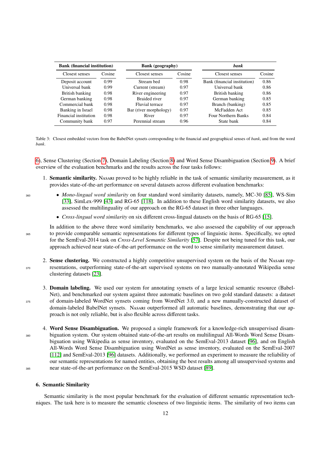| <b>Bank</b> (financial institution) |        | <b>Bank</b> (geography) |        | bank                         |        |  |
|-------------------------------------|--------|-------------------------|--------|------------------------------|--------|--|
| Closest senses                      | Cosine | Closest senses          | Cosine | Closest senses               | Cosine |  |
| Deposit account                     | 0.99   | Stream bed              | 0.98   | Bank (financial institution) | 0.86   |  |
| Universal bank                      | 0.99   | Current (stream)        | 0.97   | Universal bank               | 0.86   |  |
| British banking                     | 0.98   | River engineering       | 0.97   | British banking              | 0.86   |  |
| German banking                      | 0.98   | <b>Braided river</b>    | 0.97   | German banking               | 0.85   |  |
| Commercial bank                     | 0.98   | Fluvial terrace         | 0.97   | Branch (banking)             | 0.85   |  |
| Banking in Israel                   | 0.98   | Bar (river morphology)  | 0.97   | McFadden Act                 | 0.85   |  |
| Financial institution               | 0.98   | River                   | 0.97   | Four Northern Banks          | 0.84   |  |
| Community bank                      | 0.97   | Perennial stream        | 0.96   | State bank                   | 0.84   |  |

<span id="page-12-1"></span>Table 3: Closest embedded vectors from the BabelNet synsets corresponding to the financial and geographical senses of *bank*, and from the word *bank*.

[6\)](#page-12-0), Sense Clustering (Section [7\)](#page-17-0), Domain Labeling (Section [8\)](#page-19-0) and Word Sense Disambiguation (Section [9\)](#page-23-0). A brief overview of the evaluation benchmarks and the results across the four tasks follows:

- 1. Semantic similarity. Nasari proved to be highly reliable in the task of semantic similarity measurement, as it provides state-of-the-art performance on several datasets across different evaluation benchmarks:
- <sup>360</sup> *Mono-lingual word similarity* on four standard word similarity datasets, namely, MC-30 [\[85\]](#page-33-15), WS-Sim [\[33\]](#page-32-16), SimLex-999 [\[43\]](#page-32-17) and RG-65 [\[118\]](#page-34-16). In addition to these English word similarity datasets, we also assessed the multilinguality of our approach on the RG-65 dataset in three other languages.
	- *Cross-lingual word similarity* on six different cross-lingual datasets on the basis of RG-65 [\[15\]](#page-31-12).

In addition to the above three word similarity benchmarks, we also assessed the capability of our approach <sup>365</sup> to provide comparable semantic representations for different types of linguistic items. Specifically, we opted for the SemEval-2014 task on *Cross-Level Semantic Similarity* [\[57\]](#page-32-18). Despite not being tuned for this task, our approach achieved near state-of-the-art performance on the word to sense similarity measurement dataset.

- 2. Sense clustering. We constructed a highly competitive unsupervised system on the basis of the Nasari rep-<sup>370</sup> resentations, outperforming state-of-the-art supervised systems on two manually-annotated Wikipedia sense clustering datasets [\[23\]](#page-31-13).
- 3. Domain labeling. We used our system for annotating synsets of a large lexical semantic resource (Babel-Net), and benchmarked our system against three automatic baselines on two gold standard datasets: a dataset 375 of domain-labeled WordNet synsets coming from WordNet 3.0, and a new manually-constructed dataset of domain-labeled BabelNet synsets. Nasari outperformed all automatic baselines, demonstrating that our approach is not only reliable, but is also flexible across different tasks.
- 4. Word Sense Disambiguation. We proposed a simple framework for a knowledge-rich unsupervised disam-<sup>380</sup> biguation system. Our system obtained state-of-the-art results on multilingual All-Words Word Sense Disambiguation using Wikipedia as sense inventory, evaluated on the SemEval-2013 dataset [\[96\]](#page-34-17), and on English All-Words Word Sense Disambiguation using WordNet as sense inventory, evaluated on the SemEval-2007 [\[112\]](#page-34-18) and SemEval-2013 [\[96\]](#page-34-17) datasets. Additionally, we performed an experiment to measure the reliability of our semantic representations for named entities, obtaining the best results among all unsupervised systems and <sup>385</sup> near state-of-the-art performance on the SemEval-2015 WSD dataset [\[89\]](#page-33-16).

#### <span id="page-12-0"></span>6. Semantic Similarity

Semantic similarity is the most popular benchmark for the evaluation of different semantic representation techniques. The task here is to measure the semantic closeness of two linguistic items. The similarity of two items can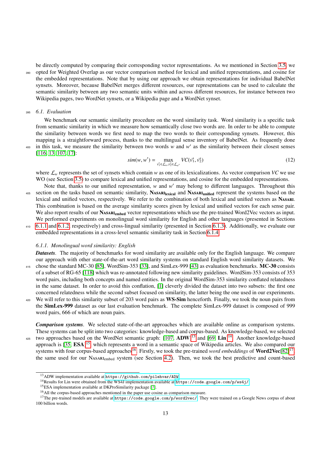be directly computed by comparing their corresponding vector representations. As we mentioned in Section [3.5,](#page-8-7) we <sup>390</sup> opted for Weighted Overlap as our vector comparison method for lexical and unified representations, and cosine for the embedded representations. Note that by using our approach we obtain representations for individual BabelNet synsets. Moreover, because BabelNet merges different resources, our representations can be used to calculate the semantic similarity between any two semantic units within and across different resources, for instance between two Wikipedia pages, two WordNet synsets, or a Wikipedia page and a WordNet synset.

#### <span id="page-13-0"></span><sup>395</sup> *6.1. Evaluation*

We benchmark our semantic similarity procedure on the word similarity task. Word similarity is a specific task from semantic similarity in which we measure how semantically close two words are. In order to be able to compute the similarity between words we first need to map the two words to their corresponding synsets. However, this mapping is a straightforward process, thanks to the multilingual sense inventory of BabelNet. As frequently done  $400$  in this task, we measure the similarity between two words  $w$  and  $w'$  as the similarity between their closest senses

[\[116,](#page-34-19) [13,](#page-31-0) [107,](#page-34-0) [17\]](#page-31-9):

$$
sim(w, w') = \max_{\vec{v_1} \in \mathcal{L}_w, \vec{v_2} \in \mathcal{L}_{w'}} VC(\vec{v_1}, \vec{v_2})
$$
\n(12)

where  $\mathcal{L}_w$  represents the set of synsets which contain *w* as one of its lexicalizations. As vector comparison *VC* we use WO (see Section [3.5\)](#page-8-7) to compare lexical and unified representations, and cosine for the embedded representations.

- Note that, thanks to our unified representation, w and w' may belong to different languages. Throughout this 405 section on the tasks based on semantic similarity, NASARI<sub>lexical</sub> and NASARI<sub>unified</sub> represent the systems based on the lexical and unified vectors, respectively. We refer to the combination of both lexical and unified vectors as Nasari. This combination is based on the average similarity scores given by lexical and unified vectors for each sense pair. We also report results of our Nasard<sub>embed</sub> vector representations which use the pre-trained Word2Vec vectors as input. We performed experiments on monolingual word similarity for English and other languages (presented in Sections
- <sup>410</sup> [6.1.1](#page-13-1) and [6.1.2,](#page-15-0) respectively) and cross-lingual similarity (presented in Section [6.1.3\)](#page-16-0). Additionally, we evaluate our embedded representations in a cross-level semantic similarity task in Section [6.1.4.](#page-17-1)

#### <span id="page-13-1"></span>*6.1.1. Monolingual word similarity: English*

*Datasets.* The majority of benchmarks for word similarity are available only for the English language. We compare our approach with other state-of-the-art word similarity systems on standard English word similarity datasets. We <sup>415</sup> chose the standard MC-30 [\[85\]](#page-33-15), WordSim-353 [\[33\]](#page-32-16), and SimLex-999 [\[43\]](#page-32-17) as evaluation benchmarks. MC-30 consists

- of a subset of RG-65 [\[118\]](#page-34-16) which was re-annotated following new similarity guidelines. WordSim-353 consists of 353 word pairs, including both concepts and named entities. In the original WordSim-353 similarity conflated relatedness in the same dataset. In order to avoid this conflation, [\[1\]](#page-31-14) cleverly divided the dataset into two subsets: the first one concerned relatedness while the second subset focused on similarity, the latter being the one used in our experiments.
- 420 We will refer to this similarity subset of 203 word pairs as WS-Sim henceforth. Finally, we took the noun pairs from the SimLex-999 dataset as our last evaluation benchmark. The complete SimLex-999 dataset is composed of 999 word pairs, 666 of which are noun pairs.

*Comparison systems.* We selected state-of-the-art approaches which are available online as comparison systems. These systems can be split into two categories: knowledge-based and corpus-based. As knowledge-based, we selected <sup>425</sup> two approaches based on the WordNet semantic graph:  $[107, ADW]$ <sup>[13](#page-13-2)</sup> and  $[69, Lin]$ <sup>[14](#page-13-3)</sup>. Another knowledge-based approach is [\[35,](#page-32-19) ESA]<sup>[15](#page-13-4)</sup>, which represents a word in a semantic space of Wikipedia articles. We also compared our systems with four corpus-based approaches<sup>[16](#page-13-5)</sup>. Firstly, we took the pre-trained *word embeddings* of **Word2Vec**[\[82\]](#page-33-6)<sup>[17](#page-13-6)</sup>, the same used for our Nasariembed system (see Section [4.2\)](#page-10-0). Then, we took the best predictive and count-based

<span id="page-13-2"></span><sup>13</sup>ADW implementation available at <https://github.com/pilehvar/ADW>

<span id="page-13-3"></span><sup>14</sup>Results for Lin were obtained from the WS4J implementation available at <https://code.google.com/p/ws4j/>

<span id="page-13-4"></span><sup>15</sup>ESA implementation available at DKProSimilarity package [\[7\]](#page-31-15).

<span id="page-13-6"></span><span id="page-13-5"></span><sup>&</sup>lt;sup>16</sup>All the corpus-based approaches mentioned in the paper use cosine as comparison measure.

<sup>&</sup>lt;sup>17</sup>The pre-trained models are available at <https://code.google.com/p/word2vec/>. They were trained on a Google News corpus of about 100 billion words.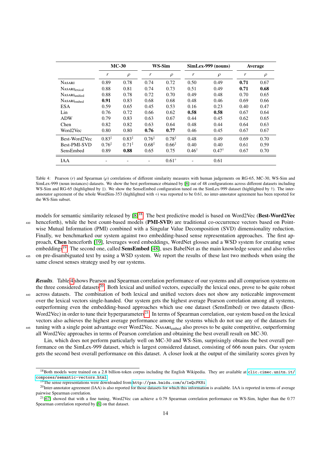|                                  |                   | $MC-30$           |                   | WS-Sim            |                  | SimLex-999 (nouns) |      | Average |
|----------------------------------|-------------------|-------------------|-------------------|-------------------|------------------|--------------------|------|---------|
|                                  | r                 | $\rho$            | r                 | $\rho$            | r                | $\rho$             | r    | $\rho$  |
| <b>NASARI</b>                    | 0.89              | 0.78              | 0.74              | 0.72              | 0.50             | 0.49               | 0.71 | 0.67    |
| NASARI <sub>lexical</sub>        | 0.88              | 0.81              | 0.74              | 0.73              | 0.51             | 0.49               | 0.71 | 0.68    |
| <b>NASARI</b> <sub>unified</sub> | 0.88              | 0.78              | 0.72              | 0.70              | 0.49             | 0.48               | 0.70 | 0.65    |
| NASARI <sub>embed</sub>          | 0.91              | 0.83              | 0.68              | 0.68              | 0.48             | 0.46               | 0.69 | 0.66    |
| <b>ESA</b>                       | 0.59              | 0.65              | 0.45              | 0.53              | 0.16             | 0.23               | 0.40 | 0.47    |
| Lin                              | 0.76              | 0.72              | 0.66              | 0.62              | 0.58             | 0.58               | 0.67 | 0.64    |
| <b>ADW</b>                       | 0.79              | 0.83              | 0.63              | 0.67              | 0.44             | 0.45               | 0.62 | 0.65    |
| Chen                             | 0.82              | 0.82              | 0.63              | 0.64              | 0.48             | 0.44               | 0.64 | 0.63    |
| Word2Vec                         | 0.80              | 0.80              | 0.76              | 0.77              | 0.46             | 0.45               | 0.67 | 0.67    |
| Best-Word2Vec                    | $0.83*$           | $0.83^{\ddagger}$ | $0.76^{\ddagger}$ | $0.78^{\ddagger}$ | 0.48             | 0.49               | 0.69 | 0.70    |
| <b>Best-PMI-SVD</b>              | $0.76^{\ddagger}$ | $0.71^{\ddagger}$ | $0.68^{\ddagger}$ | $0.66^{\ddagger}$ | 0.40             | 0.40               | 0.61 | 0.59    |
| SensEmbed                        | 0.89              | 0.88              | 0.65              | 0.75              | $0.46^{\dagger}$ | $0.47^{\dagger}$   | 0.67 | 0.70    |
| <b>IAA</b>                       |                   |                   |                   | $0.61^{\circ}$    |                  | 0.61               |      |         |

<span id="page-14-2"></span>Table 4: Pearson (*r*) and Spearman (ρ) correlations of different similarity measures with human judgements on RG-65, MC-30, WS-Sim and SimLex-999 (noun instances) datasets. We show the best performance obtained by [\[8\]](#page-31-4) out of 48 configurations across different datasets including WS-Sim and RG-65 (highlighted by  $\ddagger$ ). We show the SenseEmbed configuration tuned on the SimLex-999 dataset (highlighted by  $\ddagger$ ). The interannotator agreement of the whole WordSim-353 (highlighted with  $\diamond$ ) was reported to be 0.61, no inter-annotator agreement has been reported for the WS-Sim subset.

models for semantic similarity released by [\[8\]](#page-31-4)<sup>[18](#page-14-0)</sup>. The best predictive model is based on Word2Vec (Best-Word2Vec 430 henceforth), while the best count-based models (PMI-SVD) are traditional co-occurrence vectors based on Pointwise Mutual Information (PMI) combined with a Singular Value Decomposition (SVD) dimensionality reduction. Finally, we benchmarked our system against two embedding-based sense representation approaches. The first approach, Chen henceforth [\[19\]](#page-31-7), leverages word embeddings, WordNet glosses and a WSD system for creating sense embeddings<sup>[19](#page-14-1)</sup>. The second one, called **SensEmbed** [\[48\]](#page-32-9), uses BabelNet as the main knowledge source and also relies <sup>435</sup> on pre-disambiguated text by using a WSD system. We report the results of these last two methods when using the

same closest senses strategy used by our systems.

*Results.* Table [4](#page-14-2) shows Pearson and Spearman correlation performance of our systems and all comparison systems on the three considered datasets<sup>[20](#page-14-3)</sup>. Both lexical and unified vectors, especially the lexical ones, prove to be quite robust across datasets. The combination of both lexical and unified vectors does not show any noticeable improvement over the lexical vectors single-handed. Our system gets the highest average Pearson correlation among all systems, outperforming even the embedding-based approaches which use one dataset (SensEmbed) or two datasets (Best-Word2Vec) in order to tune their hyperparameters<sup>[21](#page-14-4)</sup>. In terms of Spearman correlation, our system based on the lexical vectors also achieves the highest average performance among the systems which do not use any of the datasets for 445 tuning with a single point advantage over Word2Vec. NasaRI<sub>embed</sub> also proves to be quite competitive, outperforming

all Word2Vec approaches in terms of Pearson correlation and obtaining the best overall result on MC-30. Lin, which does not perform particularly well on MC-30 and WS-Sim, surprisingly obtains the best overall per-

formance on the SimLex-999 dataset, which is largest considered dataset, consisting of 666 noun pairs. Our system gets the second best overall performance on this dataset. A closer look at the output of the similarity scores given by

<span id="page-14-0"></span> $18$ Both models were trained on a 2.8 billion-token corpus including the English Wikipedia. They are available at [clic.cimec.unitn.it/](clic.cimec.unitn.it/composes/semantic-vectors.html) [composes/semantic-vectors.html](clic.cimec.unitn.it/composes/semantic-vectors.html)

<span id="page-14-3"></span><span id="page-14-1"></span><sup>&</sup>lt;sup>19</sup>The sense representations were downloaded from <http://pan.baidu.com/s/1eQcPK8i>

<sup>&</sup>lt;sup>20</sup>Inter-annotator agreement (IAA) is also reported for those datasets for which this information is available. IAA is reported in terms of average pairwise Spearman correlation.

<span id="page-14-4"></span> $^{21}$ [\[67\]](#page-33-18) showed that with a fine tuning, Word2Vec can achieve a 0.79 Spearman correlation performance on WS-Sim, higher than the 0.77 Spearman correlation reported by [\[8\]](#page-31-4) on that dataset.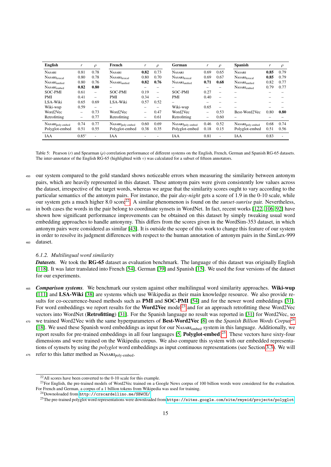| <b>English</b>               | r                      | $\rho$   | French                       | r    | $\rho$                   | German                       | r        | $\rho$                   | <b>Spanish</b>               | r    | $\rho$ |
|------------------------------|------------------------|----------|------------------------------|------|--------------------------|------------------------------|----------|--------------------------|------------------------------|------|--------|
| <b>NASARI</b>                | 0.81                   | 0.78     | <b>NASARI</b>                | 0.82 | 0.73                     | <b>NASARI</b>                | 0.69     | 0.65                     | <b>NASARI</b>                | 0.85 | 0.79   |
| NASARI <sub>lexical</sub>    | 0.80                   | 0.78     | NASARI <sub>lexical</sub>    | 0.80 | 0.70                     | NASARI <sub>lexical</sub>    | 0.69     | 0.67                     | NASARI <sub>lexical</sub>    | 0.85 | 0.79   |
| NASARI <sub>unified</sub>    | 0.80                   | 0.76     | NASARI <sub>unified</sub>    | 0.82 | 0.76                     | NASARI <sub>unified</sub>    | 0.71     | 0.68                     | NASARI <sub>unified</sub>    | 0.82 | 0.77   |
| NASARI <sub>embed</sub>      | 0.82                   | 0.80     |                              |      |                          |                              |          |                          | NASARI <sub>embed</sub>      | 0.79 | 0.77   |
| SOC-PMI                      | 0.61                   | $\equiv$ | SOC-PMI                      | 0.19 | $\overline{\phantom{m}}$ | SOC-PMI                      | 0.27     | $\overline{\phantom{0}}$ |                              |      |        |
| <b>PMI</b>                   | 0.41                   | -        | PMI                          | 0.34 | $\equiv$                 | <b>PMI</b>                   | 0.40     | $\equiv$                 |                              |      |        |
| LSA-Wiki                     | 0.65                   | 0.69     | LSA-Wiki                     | 0.57 | 0.52                     |                              |          |                          |                              |      |        |
| Wiki-wup                     | 0.59                   | -        |                              |      |                          | Wiki-wup                     | 0.65     | $\overline{\phantom{0}}$ |                              |      |        |
| Word2Vec                     | $-$                    | 0.73     | Word2Vec                     |      | 0.47                     | Word2Vec                     | -        | 0.53                     | Best-Word2Vec                | 0.80 | 0.80   |
| Retrofitting                 | $\qquad \qquad \qquad$ | 0.77     | Retrofitting                 |      | 0.61                     | Retrofitting                 | $\equiv$ | 0.60                     |                              |      |        |
| NASARI <sub>poly-embed</sub> | 0.74                   | 0.77     | NASARI <sub>poly-embed</sub> | 0.60 | 0.69                     | NASARI <sub>poly-embed</sub> | 0.46     | 0.52                     | NASARI <sub>poly-embed</sub> | 0.68 | 0.74   |
| Polyglot-embed               | 0.51                   | 0.55     | Polyglot-embed               | 0.38 | 0.35                     | Polyglot-embed               | 0.18     | 0.15                     | Polyglot-embed               | 0.51 | 0.56   |
| IAA                          | $0.85^{\circ}$         | -        | IAA                          |      |                          | <b>IAA</b>                   | 0.81     | $\overline{\phantom{a}}$ | <b>IAA</b>                   | 0.83 |        |

<span id="page-15-5"></span>Table 5: Pearson (*r*) and Spearman (ρ) correlation performance of different systems on the English, French, German and Spanish RG-65 datasets. The inter-annotator of the English RG-65 (highlighted with  $\diamond$ ) was calculated for a subset of fifteen annotators.

- <sup>450</sup> our system compared to the gold standard shows noticeable errors when measuring the similarity between antonym pairs, which are heavily represented in this dataset. These antonym pairs were given consistently low values across the dataset, irrespective of the target words, whereas we argue that the similarity scores ought to vary according to the particular semantics of the antonym pairs. For instance, the pair *day-night* gets a score of 1.9 in the 0-10 scale, while our system gets a much higher 8.0 score[22](#page-15-1). A similar phenomenon is found on the *sunset-sunrise* pair. Nevertheless,
- <sup>455</sup> in both cases the words in the pair belong to coordinate synsets in WordNet. In fact, recent works [\[122,](#page-34-20) [106,](#page-34-21) [92\]](#page-33-19) have shown how significant performance improvements can be obtained on this dataset by simply tweaking usual word embedding approaches to handle antonymy. This differs from the scores given in the WordSim-353 dataset, in which antonym pairs were considered as similar [\[43\]](#page-32-17). It is outside the scope of this work to change this feature of our system in order to resolve its judgment differences with respect to the human annotation of antonym pairs in the SimLex-999 <sup>460</sup> dataset.

#### <span id="page-15-0"></span>*6.1.2. Multilingual word similarity*

*Datasets.* We took the RG-65 dataset as evaluation benchmark. The language of this dataset was originally English [\[118\]](#page-34-16). It was later translated into French [\[54\]](#page-32-20), German [\[39\]](#page-32-21) and Spanish [\[15\]](#page-31-12). We used the four versions of the dataset for our experiments.

- <sup>465</sup> *Comparison systems.* We benchmark our system against other multilingual word similarity approaches. Wiki-wup [\[111\]](#page-34-22) and LSA-Wiki [\[38\]](#page-32-22) are systems which use Wikipedia as their main knowledge resource. We also provide re-sults for co-occurrence-based methods such as PMI and SOC-PMI [\[54\]](#page-32-20) and for the newer word embeddings [\[31\]](#page-32-23). For word embeddings we report results for the **Word2Vec** model<sup>[23](#page-15-2)</sup> and for an approach retrofitting these Word2Vec vectors into WordNet (Retrofitting) [\[31\]](#page-32-23). For the Spanish language no result was reported in [\[31\]](#page-32-23) for Word2Vec, so
- we trained Word2Vec with the same hyperparameters of Best-Word2Vec [\[8\]](#page-31-4) on the *Spanish Billion Words Corpus*[24](#page-15-3) 470 [\[18\]](#page-31-16). We used these Spanish word embeddings as input for our NASARI<sub>embed</sub> system in this language. Additionally, we report results for pre-trained embeddings in all four languages [\[5,](#page-31-17) Polyglot-embed]<sup>[25](#page-15-4)</sup>. These vectors have sixty-four dimensions and were trained on the Wikipedia corpus. We also compare this system with our embedded representations of synsets by using the *polyglot* word embeddings as input continuous representations (see Section [3.3\)](#page-7-0). We will
- 475 refer to this latter method as NASARI<sub>poly-embed</sub>.

<span id="page-15-2"></span><span id="page-15-1"></span><sup>22</sup>All scores have been converted to the 0-10 scale for this example.

<sup>&</sup>lt;sup>23</sup>For English, the pre-trained models of Word2Vec trained on a Google News corpus of 100 billion words were considered for the evaluation. For French and German, a corpus of a 1 billion tokens from Wikipedia was used for training.

<span id="page-15-3"></span><sup>24</sup>Downoloaded from <http://crscardellino.me/SBWCE/>

<span id="page-15-4"></span><sup>&</sup>lt;sup>25</sup>The pre-trained polyglot word representations were downloaded from <https://sites.google.com/site/rmyeid/projects/polyglot>.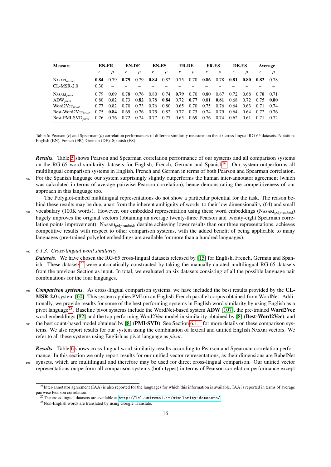| <b>Measure</b>                 |                   | <b>EN-FR</b>  |      | EN-DE         |      | <b>EN-ES</b> |      | <b>FR-DE</b> |      | <b>FR-ES</b>  | DE-ES |        |      | Average |
|--------------------------------|-------------------|---------------|------|---------------|------|--------------|------|--------------|------|---------------|-------|--------|------|---------|
|                                | r                 | $\mathcal{D}$ | r    | $\mathcal{D}$ |      | $\rho$       | r    | $\rho$       | r    | $\mathcal{D}$ | r     | $\rho$ | r    | ρ       |
| $N$ ASARI <sub>unified</sub>   | 0.84              | 0.79          | 0.79 | 0.79          | 0.84 | 0.82         | 0.75 | 0.70         | 0.86 | 0.78          | 0.81  | 0.80   | 0.82 | 0.78    |
| $CL-MSR-2.0$                   | 0.30 <sub>1</sub> |               |      |               |      |              |      |              |      |               |       |        |      |         |
| $N$ ASARI $_{pivot}$           | 0.79              | 0.69          | 0.78 | 0.76          | 0.80 | 0.74         | 0.79 | 0.70         | 0.80 | 0.67          | 0.72  | 0.68   | 0.78 | 0.71    |
| $\text{ADW}_{pivot}$           | 0.80              | 0.82          | 0.73 | 0.82          | 0.78 | 0.84         | 0.72 | 0.77         | 0.81 | 0.81          | 0.68  | 0.72   | 0.75 | 0.80    |
| Word2Vec <sub>pivot</sub>      | 0.77              | 0.82          | 0.70 | 0.73          | 0.76 | 0.80         | 0.65 | 0.70         | 0.75 | 0.76          | 0.64  | 0.63   | 0.71 | 0.74    |
| Best-Word2Vec <sub>nivot</sub> | 0.75              | 0.84          | 0.69 | 0.76          | 0.75 | 0.82         | 0.77 | 0.73         | 0.74 | 0.79          | 0.64  | 0.64   | 0.72 | 0.76    |
| Best-PMI-SVD <sub>pivot</sub>  | 0.76              | 0.76          | 0.72 | 0.74          | 0.77 | 0.77         | 0.65 | 0.69         | 0.76 | 0.74          | 0.62  | 0.61   | 0.71 | 0.72    |

<span id="page-16-4"></span>Table 6: Pearson (*r*) and Spearman (ρ) correlation performances of different similarity measures on the six cross-lingual RG-65 datasets. Notation: English (EN), French (FR), German (DE), Spanish (ES).

*Results.* Table [5](#page-15-5) shows Pearson and Spearman correlation performance of our systems and all comparison systems on the RG-65 word similarity datasets for English, French, German and Spanish<sup>[26](#page-16-1)</sup>. Our system outperforms all multilingual comparison systems in English, French and German in terms of both Pearson and Spearman correlation.

<sup>480</sup> For the Spanish language our system surprisingly slightly outperforms the human inter-annotator agreement (which was calculated in terms of average pairwise Pearson correlation), hence demonstrating the competitiveness of our approach in this language too.

The Polyglot-embed multilingual representations do not show a particular potential for the task. The reason behind these results may be due, apart from the inherent ambiguity of words, to their low dimensionality (64) and small

485 vocabulary (100K words). However, our embedded representation using these word embeddings (NASARI<sub>poly-embed</sub>) hugely improves the original vectors (obtaining an average twenty-three Pearson and twenty-eight Spearman correlation points improvement). NasaRI<sub>poly-embed</sub>, despite achieving lower results than our three representations, achieves competitive results with respect to other comparison systems, with the added benefit of being applicable to many languages (pre-trained polyglot embeddings are available for more than a hundred languages).

#### <sup>490</sup> *6.1.3. Cross-lingual word similarity*

<span id="page-16-0"></span>*Datasets.* We have chosen the RG-65 cross-lingual datasets released by [\[15\]](#page-31-12) for English, French, German and Span-ish. These datasets<sup>[27](#page-16-2)</sup> were automatically constructed by taking the manually-curated multilingual RG-65 datasets from the previous Section as input. In total, we evaluated on six datasets consisting of all the possible language pair combinations for the four languages.

- <sup>495</sup> *Comparison systems.* As cross-lingual comparison systems, we have included the best results provided by the CL-MSR-2.0 system [\[60\]](#page-33-20). This system applies PMI on an English-French parallel corpus obtained from WordNet. Additionally, we provide results for some of the best performing systems in English word similarity by using English as a pivot language<sup>[28](#page-16-3)</sup>. Baseline pivot systems include the WordNet-based system  $\bf{ADW}$  [\[107\]](#page-34-0), the pre-trained Word2Vec word embeddings [\[82\]](#page-33-6) and the top performing Word2Vec model in similarity obtained by [\[8\]](#page-31-4) (Best-Word2Vec), and
- 500 the best count-based model obtained by [\[8\]](#page-31-4) (PMI-SVD). See Section [6.1.1](#page-13-1) for more details on these comparison systems. We also report results for our system using the combination of lexical and unified English Nasari vectors. We refer to all these systems using English as pivot language as *pivot*.

*Results.* Table [6](#page-16-4) shows cross-lingual word similarity results according to Pearson and Spearman correlation performance. In this section we only report results for our unified vector representations, as their dimensions are BabelNet synsets, which are multilingual and therefore may be used for direct cross-lingual comparison. Our unified vector representations outperform all comparison systems (both types) in terms of Pearson correlation performance except

<span id="page-16-1"></span><sup>&</sup>lt;sup>26</sup>Inter-annotator agreement (IAA) is also reported for the languages for which this information is available. IAA is reported in terms of average pairwise Pearson correlation.

<span id="page-16-2"></span> $^{27}$ The cross-lingual datasets are available at <http://lcl.uniroma1.it/similarity-datasets/>

<span id="page-16-3"></span><sup>28</sup>Non-English words are translated by using Google Translate.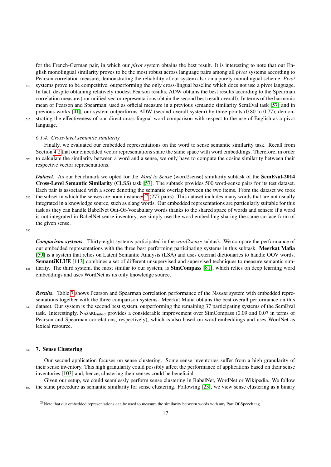for the French-German pair, in which our *pivot* system obtains the best result. It is interesting to note that our English monolingual similarity proves to be the most robust across language pairs among all *pivot* systems according to Pearson correlation measure, demonstrating the reliability of our system also on a purely monolingual scheme. *Pivot*

<sup>510</sup> systems prove to be competitive, outperforming the only cross-lingual baseline which does not use a pivot language. In fact, despite obtaining relatively modest Pearson results, ADW obtains the best results according to the Spearman correlation measure (our unified vector representations obtain the second best result overall). In terms of the harmonic mean of Pearson and Spearman, used as official measure in a previous semantic similarity SemEval task [\[57\]](#page-32-18) and in previous works [\[41\]](#page-32-24), our system outperforms ADW (second overall system) by three points (0.80 to 0.77), demon-<sup>515</sup> strating the effectiveness of our direct cross-lingual word comparison with respect to the use of English as a pivot language.

#### <span id="page-17-1"></span>*6.1.4. Cross-level semantic similarity*

Finally, we evaluated our embedded representations on the word to sense semantic similarity task. Recall from Section [4.2](#page-10-0) that our embedded vector representations share the same space with word embeddings. Therefore, in order <sup>520</sup> to calculate the similarity between a word and a sense, we only have to compute the cosine similarity between their respective vector representations.

*Dataset.* As our benchmark we opted for the *Word to Sense* (word2sense) similarity subtask of the SemEval-2014 Cross-Level Semantic Similarity (CLSS) task [\[57\]](#page-32-18). The subtask provides 500 word-sense pairs for its test dataset. Each pair is associated with a score denoting the semantic overlap between the two items. From the dataset we took  $525$  the subset in which the senses are noun instances<sup>[29](#page-17-2)</sup> (277 pairs). This dataset includes many words that are not usually integrated in a knowledge source, such as slang words. Our embedded representations are particularly suitable for this task as they can handle BabelNet Out-Of-Vocabulary words thanks to the shared space of words and senses: if a word is not integrated in BabelNet sense inventory, we simply use the word embedding sharing the same surface form of the given sense.

530

*Comparison systems.* Thirty-eight systems participated in the *word2sense* subtask. We compare the performance of our embedded representations with the three best performing participating systems in this subtask. Meerkat Mafia [\[59\]](#page-33-21) is a system that relies on Latent Semantic Analysis (LSA) and uses external dictionaries to handle OOV words. SemantiKLUE [\[113\]](#page-34-23) combines a set of different unsupervised and supervised techniques to measure semantic sim-535 ilarity. The third system, the most similar to our system, is **SimCompass** [\[81\]](#page-33-22), which relies on deep learning word

embeddings and uses WordNet as its only knowledge source.

*Results.* Table [7](#page-18-1) shows Pearson and Spearman correlation performance of the Nasari system with embedded representations together with the three comparison systems. Meerkat Mafia obtains the best overall performance on this dataset. Our system is the second best system, outperforming the remaining 37 participating systems of the SemEval task. Interestingly, Nasa $R_{\text{embed}}$  provides a considerable improvement over SimCompass (0.09 and 0.07 in terms of Pearson and Spearman correlations, respectively), which is also based on word embeddings and uses WordNet as lexical resource.

#### <span id="page-17-0"></span><sup>545</sup> 7. Sense Clustering

Our second application focuses on sense clustering. Some sense inventories suffer from a high granularity of their sense inventory. This high granularity could possibly affect the performance of applications based on their sense inventories [\[103\]](#page-34-24) and, hence, clustering their senses could be beneficial.

Given our setup, we could seamlessly perform sense clustering in BabelNet, WordNet or Wikipedia. We follow the same procedure as semantic similarity for sense clustering. Following [\[23\]](#page-31-13), we view sense clustering as a binary

<span id="page-17-2"></span><sup>&</sup>lt;sup>29</sup>Note that our embedded representations can be used to measure the similarity between words with any Part Of Speech tag.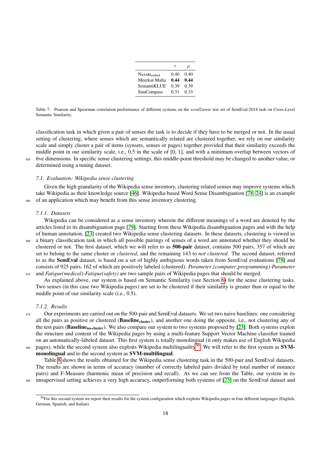|                         | r    | $\boldsymbol{\mathsf{\omega}}$ |
|-------------------------|------|--------------------------------|
| NASARI <sub>embed</sub> | 0.40 | 0.40                           |
| Meerkat Mafia           | 0.44 | 0.44                           |
| <b>SemantiKLUE</b>      | 0.39 | 0.39                           |
| SimCompass              | 0.31 | 0.33                           |

<span id="page-18-1"></span>Table 7: Pearson and Spearman correlation performance of different systems on the *word2sense* test set of SemEval-2014 task on Cross-Level Semantic Similarity.

classification task in which given a pair of senses the task is to decide if they have to be merged or not. In the usual setting of clustering, where senses which are semantically related are clustered together, we rely on our similarity scale and simply cluster a pair of items (synsets, senses or pages) together provided that their similarity exceeds the middle point in our similarity scale, i.e., 0.5 in the scale of [0, 1], and with a minimum overlap between vectors of <sup>555</sup> five dimensions. In specific sense clustering settings, this middle-point threshold may be changed to another value, or determined using a tuning dataset.

#### <span id="page-18-0"></span>*7.1. Evaluation: Wikipedia sense clustering*

Given the high granularity of the Wikipedia sense inventory, clustering related senses may improve systems which take Wikipedia as their knowledge source [\[46\]](#page-32-10). Wikipedia-based Word Sense Disambiguation [\[78,](#page-33-23) [24\]](#page-32-25) is an example <sup>560</sup> of an application which may benefit from this sense inventory clustering.

#### *7.1.1. Datasets*

Wikipedia can be considered as a sense inventory wherein the different meanings of a word are denoted by the articles listed in its disambiguation page [\[79\]](#page-33-24). Starting from these Wikipedia disambiguation pages and with the help of human annotation, [\[23\]](#page-31-13) created two Wikipedia sense clustering datasets. In these datasets, clustering is viewed as

- <sup>565</sup> a binary classification task in which all possible pairings of senses of a word are annotated whether they should be clustered or not. The first dataset, which we will refer to as **500-pair** dataset, contains 500 pairs, 357 of which are set to belong to the same cluster or *clustered*, and the remaining 143 to *not clustered*. The second dataset, referred to as the SemEval dataset, is based on a set of highly ambiguous words taken from SemEval evaluations [\[78\]](#page-33-23) and consists of 925 pairs, 162 of which are positively labeled (clustered). *Parameter (computer programming)-Parameter* <sup>570</sup> and *Fatigue(medical)-Fatigue(safety)* are two sample pairs of Wikipedia pages that should be merged.
- As explained above, our system is based on Semantic Similarity (see Section [6\)](#page-12-0) for the sense clustering tasks. Two senses (in this case two Wikipedia pages) are set to be clustered if their similarity is greater than or equal to the middle point of our similarity scale (i.e., 0.5).

#### *7.1.2. Results*

<sup>575</sup> Our experiments are carried out on the 500-pair and SemEval datasets. We set two naive baselines: one considering all the pairs as positive or clustered (Baseline<sub>cluster</sub>), and another one doing the opposite, i.e., not clustering any of the test pairs (Baseline<sub>no-cluster</sub>). We also compare our system to two systems proposed by [\[23\]](#page-31-13). Both systems exploit the structure and content of the Wikipedia pages by using a multi-feature Support Vector Machine classifier trained on an automatically-labeled dataset. This first system is totally monolingual (it only makes use of English Wikipedia

580 pages), while the second system also exploits Wikipedia multilinguality<sup>[30](#page-18-2)</sup>. We will refer to the first system as SVMmonolingual and to the second system as SVM-multilingual.

Table [8](#page-19-1) shows the results obtained for the Wikipedia sense clustering task in the 500-pair and SemEval datasets. The results are shown in terms of accuracy (number of correctly labeled pairs divided by total number of instance pairs) and F-Measure (harmonic mean of precision and recall). As we can see from the Table, our system in its <sup>585</sup> unsupervised setting achieves a very high accuracy, outperforming both systems of [\[23\]](#page-31-13) on the SemEval dataset and

<span id="page-18-2"></span><sup>&</sup>lt;sup>30</sup>For this second system we report their results for the system configuration which exploits Wikipedia pages in four different languages (English, German, Spanish, and Italian).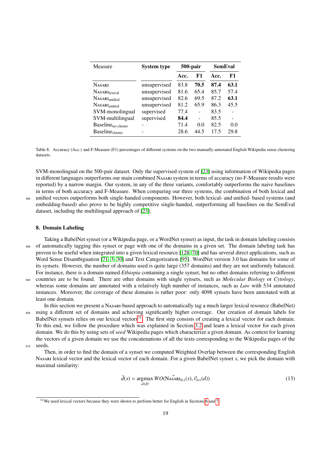| Measure                        | <b>System type</b> | 500-pair |      | <b>SemEval</b> |      |
|--------------------------------|--------------------|----------|------|----------------|------|
|                                |                    | Acc.     | F1   | Acc.           | F1   |
| <b>NASARI</b>                  | unsupervised       | 83.8     | 70.5 | 87.4           | 63.1 |
| NASARI <sub>lexical</sub>      | unsupervised       | 81.6     | 65.4 | 85.7           | 57.4 |
| NASARIunified                  | unsupervised       | 82.6     | 69.5 | 87.2           | 63.1 |
| NASARI <sub>embed</sub>        | unsupervised       | 81.2     | 65.9 | 86.3           | 45.5 |
| SVM-monolingual                | supervised         | 77.4     |      | 83.5           |      |
| SVM-multilingual               | supervised         | 84.4     |      | 85.5           |      |
| Baseline <sub>no-cluster</sub> |                    | 71.4     | 0.0  | 82.5           | 0.0  |
| Baseline <sub>cluster</sub>    |                    | 28.6     | 44.5 | 17.5           | 29.8 |

<span id="page-19-1"></span>Table 8: Accuracy (Acc.) and F-Measure (F1) percentages of different systems on the two manually-annotated English Wikipedia sense clustering datasets.

SVM-monolingual on the 500-pair dataset. Only the supervised system of [\[23\]](#page-31-13) using information of Wikipedia pages in different languages outperforms our main combined Nasari system in terms of accuracy (no F-Measure results were reported) by a narrow margin. Our system, in any of the three variants, comfortably outperforms the naive baselines in terms of both accuracy and F-Measure. When comparing our three systems, the combination of both lexical and <sup>590</sup> unified vectors outperforms both single-handed components. However, both lexical- and unified- based systems (and embedding-based) also prove to be highly competitive single-handed, outperforming all baselines on the SemEval dataset, including the multilingual approach of [\[23\]](#page-31-13).

#### <span id="page-19-0"></span>8. Domain Labeling

Taking a BabelNet synset (or a Wikipedia page, or a WordNet synset) as input, the task in domain labeling consists <sub>595</sub> of automatically tagging this synset or page with one of the domains in a given set. The domain labeling task has proven to be useful when integrated into a given lexical resource [\[128,](#page-34-25) [70\]](#page-33-25) and has several direct applications, such as Word Sense Disambiguation [\[71,](#page-33-26) [3,](#page-31-18) [30\]](#page-32-26) and Text Categorization [\[95\]](#page-34-26). WordNet version 3.0 has domains for some of its synsets. However, the number of domains used is quite large (357 domains) and they are not uniformly balanced. For instance, there is a domain named *Ethiopia* containing a single synset, but no other domains referring to different

<sup>600</sup> countries are to be found. There are other domains with single synsets, such as *Molecular Biology* or *Cytology*, whereas some domains are annotated with a relatively high number of instances, such as *Law* with 534 annotated instances. Moreover, the coverage of these domains is rather poor: only 4098 synsets have been annotated with at least one domain.

In this section we present a Nasari-based approach to automatically tag a much larger lexical resource (BabelNet) <sup>605</sup> using a different set of domains and achieving significantly higher coverage. Our creation of domain labels for BabelNet synsets relies on our lexical vectors<sup>[31](#page-19-2)</sup>. The first step consists of creating a lexical vector for each domain. To this end, we follow the procedure which was explained in Section [3.2](#page-6-0) and learn a lexical vector for each given domain. We do this by using sets of *seed* Wikipedia pages which characterize a given domain. As context for learning the vectors of a given domain we use the concatenations of all the texts corresponding to the Wikipedia pages of the 610 seeds.

Then, in order to find the domain of a synset we computed Weighted Overlap between the corresponding English Nasari lexical vector and the lexical vector of each domain. For a given BabelNet synset *s*, we pick the domain with maximal similarity:

$$
\hat{d}(s) = \underset{d \in D}{\operatorname{argmax}} \ WO(\widehat{\operatorname{Nasant}}_{lex}(s), \vec{v}_{lex}(d)) \tag{13}
$$

<span id="page-19-2"></span><sup>&</sup>lt;sup>31</sup>We used lexical vectors because they were shown to perform better for English in Sections [6](#page-12-0) and [7.](#page-17-0)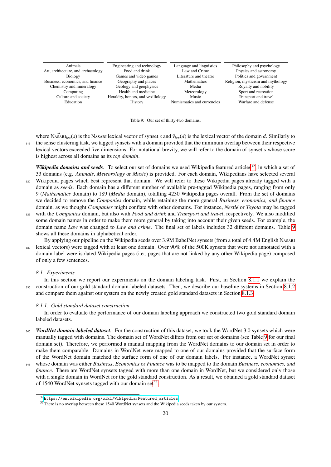| <b>Animals</b><br>Art, architecture, and archaeology<br>Biology | Engineering and technology<br>Food and drink<br>Games and video games | Language and linguistics<br>Law and Crime<br>Literature and theatre | Philosophy and psychology<br>Physics and astronomy<br>Politics and government |
|-----------------------------------------------------------------|-----------------------------------------------------------------------|---------------------------------------------------------------------|-------------------------------------------------------------------------------|
| Business, economics, and finance                                | Geography and places                                                  | <b>Mathematics</b>                                                  | Religion, mysticism and mythology                                             |
| Chemistry and mineralogy                                        | Geology and geophysics                                                | Media                                                               | Royalty and nobility                                                          |
| Computing                                                       | Health and medicine                                                   | Meteorology                                                         | Sport and recreation                                                          |
| Culture and society                                             | Heraldry, honors, and vexillology                                     | Music                                                               | Transport and travel                                                          |
| Education                                                       | <b>History</b>                                                        | Numismatics and currencies                                          | Warfare and defense                                                           |

Table 9: Our set of thirty-two domains.

<span id="page-20-1"></span>where Nasari  $R_{lex}(s)$  is the Nasari lexical vector of synset *s* and  $\vec{v}_{lex}(d)$  is the lexical vector of the domain *d*. Similarly to <sup>615</sup> the sense clustering task, we tagged synsets with a domain provided that the minimum overlap between their respective lexical vectors exceeded five dimensions. For notational brevity, we will refer to the domain of synset *s* whose score is highest across all domains as its *top domain*.

*Wikipedia domains and seeds.* To select our set of domains we used Wikipedia featured articles<sup>[32](#page-20-0)</sup>, in which a set of 33 domains (e.g. *Animals*, *Meteorology* or *Music*) is provided. For each domain, Wikipedians have selected several <sup>620</sup> Wikipedia pages which best represent that domain. We will refer to these Wikipedia pages already tagged with a domain as *seeds*. Each domain has a different number of available pre-tagged Wikipedia pages, ranging from only

- 9 (*Mathematics* domain) to 189 (*Media* domain), totalling 4230 Wikipedia pages overall. From the set of domains we decided to remove the *Companies* domain, while retaining the more general *Business, economics, and finance* domain, as we thought *Companies* might conflate with other domains. For instance, *Nestlé* or *Toyota* may be tagged <sup>625</sup> with the *Companies* domain, but also with *Food and drink* and *Transport and travel*, respectively. We also modified
- some domain names in order to make them more general by taking into account their given seeds. For example, the domain name *Law* was changed to *Law and crime*. The final set of labels includes 32 different domains. Table [9](#page-20-1) shows all these domains in alphabetical order.

By applying our pipeline on the Wikipedia seeds over 3.9M BabelNet synsets (from a total of 4.4M English Nasari lexical vectors) were tagged with at least one domain. Over 90% of the 500K synsets that were not annotated with a domain label were isolated Wikipedia pages (i.e., pages that are not linked by any other Wikipedia page) composed

## of only a few sentences.

#### *8.1. Experiments*

In this section we report our experiments on the domain labeling task. First, in Section [8.1.1](#page-20-2) we explain the <sup>635</sup> construction of our gold standard domain-labeled datasets. Then, we describe our baseline systems in Section [8.1.2](#page-21-0) and compare them against our system on the newly created gold standard datasets in Section [8.1.3.](#page-21-1)

#### <span id="page-20-2"></span>*8.1.1. Gold standard dataset construction*

In order to evaluate the performance of our domain labeling approach we constructed two gold standard domain labeled datasets.

- 640 *WordNet domain-labeled dataset*. For the construction of this dataset, we took the WordNet 3.0 synsets which were manually tagged with domains. The domain set of WordNet differs from our set of domains (see Table [9](#page-20-1) for our final domain set). Therefore, we performed a manual mapping from the WordNet domains to our domain set in order to make them comparable. Domains in WordNet were mapped to one of our domains provided that the surface form of the WordNet domain matched the surface form of one of our domain labels. For instance, a WordNet synset
- <sup>645</sup> whose domain was either *Business*, *Economics* or *Finance* was to be mapped to the domain *Business, economics, and finance*. There are WordNet synsets tagged with more than one domain in WordNet, but we considered only those with a single domain in WordNet for the gold standard construction. As a result, we obtained a gold standard dataset of 1540 WordNet synsets tagged with our domain set<sup>[33](#page-20-3)</sup>.

<span id="page-20-0"></span> $32$ [https://en.wikipedia.org/wiki/Wikipedia:Featured\\_articles](https://en.wikipedia.org/wiki/Wikipedia:Featured_articles)

<span id="page-20-3"></span><sup>&</sup>lt;sup>33</sup>There is no overlap between these 1540 WordNet synsets and the Wikipedia seeds taken by our system.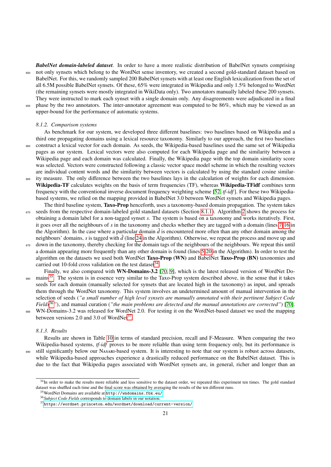*BabelNet domain-labeled dataset.* In order to have a more realistic distribution of BabelNet synsets comprising <sup>650</sup> not only synsets which belong to the WordNet sense inventory, we created a second gold-standard dataset based on BabelNet. For this, we randomly sampled 200 BabelNet synsets with at least one English lexicalization from the set of all 6.5M possible BabelNet synsets. Of these, 65% were integrated in Wikipedia and only 1.5% belonged to WordNet (the remaining synsets were mostly integrated in WikiData only). Two annotators manually labeled these 200 synsets. They were instructed to mark each synset with a single domain only. Any disagreements were adjudicated in a final

phase by the two annotators. The inter-annotator agreement was computed to be 86%, which may be viewed as an upper-bound for the performance of automatic systems.

#### <span id="page-21-0"></span>*8.1.2. Comparison systems*

As benchmark for our system, we developed three different baselines: two baselines based on Wikipedia and a third one propagating domains using a lexical resource taxonomy. Similarly to our approach, the first two baselines <sup>660</sup> construct a lexical vector for each domain. As seeds, the Wikipedia-based baselines used the same set of Wikipedia pages as our system. Lexical vectors were also computed for each Wikipedia page and the similarity between a Wikipedia page and each domain was calculated. Finally, the Wikipedia page with the top domain similarity score was selected. Vectors were constructed following a classic vector space model scheme in which the resulting vectors are individual content words and the similarity between vectors is calculated by using the standard cosine similar-

- ity measure. The only difference between the two baselines lays in the calculation of weights for each dimension. Wikipedia-TF calculates weights on the basis of term frequencies (TF), whereas Wikipedia-TFidf combines term frequency with the conventional inverse document frequency weighting scheme [\[52,](#page-32-11) *tf-idf*]. For these two Wikipediabased systems, we relied on the mapping provided in BabelNet 3.0 between WordNet synsets and Wikipedia pages. The third baseline system, Taxo-Prop henceforth, uses a taxonomy-based domain propagation. The system takes
- $670$  seeds from the respective domain-labeled gold standard datasets (Section [8.1.1\)](#page-20-2). Algorithm [2](#page-22-0) shows the process for obtaining a domain label for a non-tagged synset *s*. The system is based on a taxonomy and works iteratively. First, it goes over all the neighbours of *s* in the taxonomy and checks whether they are tagged with a domain (lines [7](#page-22-1)[-16](#page-22-2) in the Algorithm). In the case where a particular domain  $\vec{d}$  is encountered more often than any other domain among the neighbours' domains, *s* is tagged with  $\hat{d}$  (line [24](#page-22-3) in the Algorithm). Otherwise, we repeat the process and move up and
- 675 down in the taxonomy, thereby checking for the domain tags of the neighbours of the neighbours. We repeat this until a domain appearing more frequently than any other domain is found (lines [5-](#page-22-4)[20](#page-22-5) in the Algorithm). In order to test the algorithm on the datasets we used both WordNet Taxo-Prop (WN) and BabelNet Taxo-Prop (BN) taxonomies and carried out 10-fold cross validation on the test dataset $34$ .
- Finally, we also compared with WN-Domains-3.2 [\[70,](#page-33-25) [9\]](#page-31-19), which is the latest released version of WordNet Do-680 mains<sup>[35](#page-21-3)</sup>. The system is in essence very similar to the Taxo-Prop system described above, in the sense that it takes seeds for each domain (manually selected for synsets that are located high in the taxonomy) as input, and spreads them through the WordNet taxonomy. This system involves an undetermined amount of manual intervention in the selection of seeds (*"a small number of high level synsets are manually annotated with their pertinent Subject Code Fields*[36](#page-21-4)*"*), and manual curation (*"the main problems are detected and the manual annotations are corrected"*) [\[70\]](#page-33-25).
- <sup>685</sup> WN-Domains-3.2 was released for WordNet 2.0. For testing it on the WordNet-based dataset we used the mapping between versions 2.0 and 3.0 of WordNet $37$ .

#### <span id="page-21-1"></span>*8.1.3. Results*

Results are shown in Table [10](#page-23-1) in terms of standard precision, recall and F-Measure. When comparing the two Wikipedia-based systems, *tf-idf* proves to be more reliable than using term frequency only, but its performance is <sup>690</sup> still significantly below our Nasari-based system. It is interesting to note that our system is robust across datasets, while Wikipedia-based approaches experience a drastically reduced performance on the BabelNet dataset. This is due to the fact that Wikipedia pages associated with WordNet synsets are, in general, richer and longer than an

<span id="page-21-2"></span><sup>&</sup>lt;sup>34</sup>In order to make the results more reliable and less sensitive to the dataset order, we repeated this experiment ten times. The gold standard dataset was shuffled each time and the final score was obtained by averaging the results of the ten different runs.

<span id="page-21-3"></span><sup>35</sup>WordNet Domains are available at <http://wndomains.fbk.eu/>

<span id="page-21-4"></span><sup>36</sup>*Subject Code Fields* corresponds to domain labels in our notation.

<span id="page-21-5"></span> $^{37}\rm{https://wordnet.princeton.edu/wordnet/download/current-version/}$  $^{37}\rm{https://wordnet.princeton.edu/wordnet/download/current-version/}$  $^{37}\rm{https://wordnet.princeton.edu/wordnet/download/current-version/}$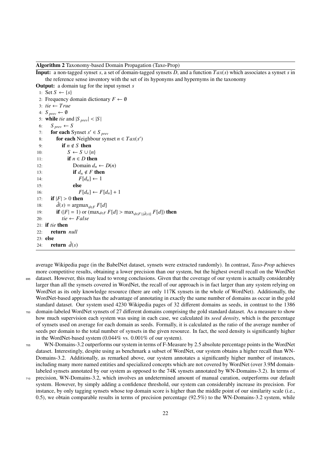Algorithm 2 Taxonomy-based Domain Propagation (Taxo-Prop)

<span id="page-22-0"></span>Input: a non-tagged synset *s*, a set of domain-tagged synsets *D*, and a function *T ax*(*s*) which associates a synset *s* in the reference sense inventory with the set of its hyponyms and hypernyms in the taxonomy

<span id="page-22-4"></span><span id="page-22-1"></span>Output: a domain tag for the input synset *s* 1: Set  $S \leftarrow \{s\}$ 2: Frequency domain dictionary  $F \leftarrow \emptyset$ 3: *tie* ← *T rue* 4:  $S_{\text{prev}} \leftarrow \emptyset$ 5: while *tie* and  $|S_{prev}| < |S|$ 6:  $S_{\text{prev}} \leftarrow S$ 7: **for each** Synset  $s' \in S$  *prev* 8: **for each** Neighbour synset  $n \in Tax(s')$ 9: if  $n \notin S$  then 10:  $S \leftarrow S \cup \{n\}$ 11: **if**  $n \in D$  then 12: Domain  $d_n \leftarrow D(n)$ 13: **if**  $d_n \notin F$  then 14:  $F[d_n] \leftarrow 1$ 15: else 16:  $F[d_n] \leftarrow F[d_n] + 1$ 17: **if**  $|F| > 0$  then 18:  $\hat{d}(s) = \operatorname{argmax}_{d \in F} F[d]$ 19: **if**  $(|F| = 1)$  or  $(\max_{d \in F} F[d]) > \max_{d \in F \setminus \{\hat{d}(s)\}} F[d])$  then 20:  $tie \leftarrow False$ 21: if *tie* then 22: return *null* 23: else 24: **return**  $\hat{d}(s)$ 

<span id="page-22-5"></span><span id="page-22-3"></span><span id="page-22-2"></span>average Wikipedia page (in the BabelNet dataset, synsets were extracted randomly). In contrast, *Taxo-Prop* achieves more competitive results, obtaining a lower precision than our system, but the highest overall recall on the WordNet

- <sup>695</sup> dataset. However, this may lead to wrong conclusions. Given that the coverage of our system is actually considerably larger than all the synsets covered in WordNet, the recall of our approach is in fact larger than any system relying on WordNet as its only knowledge resource (there are only 117K synsets in the whole of WordNet). Additionally, the WordNet-based approach has the advantage of annotating in exactly the same number of domains as occur in the gold standard dataset. Our system used 4230 Wikipedia pages of 32 different domains as seeds, in contrast to the 1386
- <sup>700</sup> domain-labeled WordNet synsets of 27 different domains comprising the gold standard dataset. As a measure to show how much supervision each system was using in each case, we calculated its *seed density*, which is the percentage of synsets used on average for each domain as seeds. Formally, it is calculated as the ratio of the average number of seeds per domain to the total number of synsets in the given resource. In fact, the seed density is significantly higher in the WordNet-based system (0.044% vs. 0.001% of our system).
- <sup>705</sup> WN-Domains-3.2 outperforms our system in terms of F-Measure by 2.5 absolute percentage points in the WordNet dataset. Interestingly, despite using as benchmark a subset of WordNet, our system obtains a higher recall than WN-Domains-3.2. Additionally, as remarked above, our system annotates a significantly higher number of instances, including many more named entities and specialized concepts which are not covered by WordNet (over 3.9M domainlabeled synsets annotated by our system as opposed to the 74K synsets annotated by WN-Domains-3.2). In terms of
- <sup>710</sup> precision, WN-Domains-3.2, which involves an undetermined amount of manual curation, outperforms our default system. However, by simply adding a confidence threshold, our system can considerably increase its precision. For instance, by only tagging synsets whose top domain score is higher than the middle point of our similarity scale (i.e., 0.5), we obtain comparable results in terms of precision percentage (92.5%) to the WN-Domains-3.2 system, while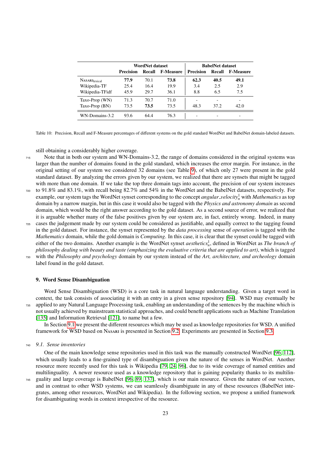|                                  |                  | WordNet dataset |                  | <b>BabelNet dataset</b> |        |                  |
|----------------------------------|------------------|-----------------|------------------|-------------------------|--------|------------------|
|                                  | <b>Precision</b> | Recall          | <b>F-Measure</b> | <b>Precision</b>        | Recall | <b>F-Measure</b> |
| <b>NASARI</b> <sub>lexical</sub> | 77.9             | 70.1            | 73.8             | 62.3                    | 40.5   | 49.1             |
| Wikipedia-TF                     | 25.4             | 16.4            | 19.9             | 3.4                     | 2.5    | 2.9              |
| Wikipedia-TFidf                  | 45.9             | 29.7            | 36.1             | 8.8                     | 6.5    | 7.5              |
| Taxo-Prop (WN)                   | 71.3             | 70.7            | 71.0             |                         | -      |                  |
| Taxo-Prop (BN)                   | 73.5             | 73.5            | 73.5             | 48.3                    | 37.2   | 42.0             |
| WN-Domains-3.2                   | 93.6             | 64.4            | 76.3             | -                       | -      |                  |

<span id="page-23-1"></span>Table 10: Precision, Recall and F-Measure percentages of different systems on the gold standard WordNet and BabelNet domain-labeled datasets.

still obtaining a considerably higher coverage.

- <sup>715</sup> Note that in both our system and WN-Domains-3.2, the range of domains considered in the original systems was larger than the number of domains found in the gold standard, which increases the error margin. For instance, in the original setting of our system we considered 32 domains (see Table [9\)](#page-20-1), of which only 27 were present in the gold standard dataset. By analyzing the errors given by our system, we realized that there are synsets that might be tagged with more than one domain. If we take the top three domain tags into account, the precision of our system increases
- <sup>720</sup> to 91.8% and 83.1%, with recall being 82.7% and 54% in the WordNet and the BabelNet datasets, respectively. For example, our system tags the WordNet synset corresponding to the concept *angular velocity*<sup>1</sup> *<sup>n</sup>* with *Mathematics* as top domain by a narrow margin, but in this case it would also be tagged with the *Physics and astronomy domain* as second domain, which would be the right answer according to the gold dataset. As a second source of error, we realized that it is arguable whether many of the false positives given by our system are, in fact, entirely wrong. Indeed, in many
- <sup>725</sup> cases the judgement made by our system could be considered as justifiable, and equally correct to the tagging found in the gold dataset. For instance, the synset represented by the *data processing* sense of *operation* is tagged with the *Mathematics* domain, while the gold domain is *Computing*. In this case, it is clear that the synset could be tagged with either of the two domains. Another example is the WordNet synset *aesthetics*<sup>1</sup>, defined in WordNet as *The branch of philosophy dealing with beauty and taste (emphasizing the evaluative criteria that are applied to art)*, which is tagged <sup>730</sup> with the *Philosophy and psychology* domain by our system instead of the *Art, architecture, and archeology* domain

<span id="page-23-0"></span>9. Word Sense Disambiguation

label found in the gold dataset.

Word Sense Disambiguation (WSD) is a core task in natural language understanding. Given a target word in context, the task consists of associating it with an entry in a given sense repository [\[94\]](#page-33-0). WSD may eventually be <sup>735</sup> applied to any Natural Language Processing task, enabling an understanding of the sentences by the machine which is not usually achieved by mainstream statistical approaches, and could benefit applications such as Machine Translation [\[135\]](#page-35-7) and Information Retrieval [\[121\]](#page-34-27), to name but a few.

In Section [9.1](#page-23-2) we present the different resources which may be used as knowledge repositories for WSD. A unified framework for WSD based on Nasari is presented in Section [9.2.](#page-24-0) Experiments are presented in Section [9.3.](#page-24-1)

<sup>740</sup> *9.1. Sense inventories*

<span id="page-23-2"></span>One of the main knowledge sense repositories used in this task was the manually constructed WordNet [\[96,](#page-34-17) [112\]](#page-34-18), which usually leads to a fine-grained type of disambiguation given the nature of the senses in WordNet. Another resource more recently used for this task is Wikipedia [\[79,](#page-33-24) [24,](#page-32-25) [96\]](#page-34-17), due to its wide coverage of named entities and multilinguality. A newer resource used as a knowledge repository that is gaining popularity thanks to its multilin-

guality and large coverage is BabelNet [\[96,](#page-34-17) [89,](#page-33-16) [137\]](#page-35-8), which is our main resource. Given the nature of our vectors, and in contrast to other WSD systems, we can seamlessly disambiguate in any of these resources (BabelNet integrates, among other resources, WordNet and Wikipedia). In the following section, we propose a unified framework for disambiguating words in context irrespective of the resource.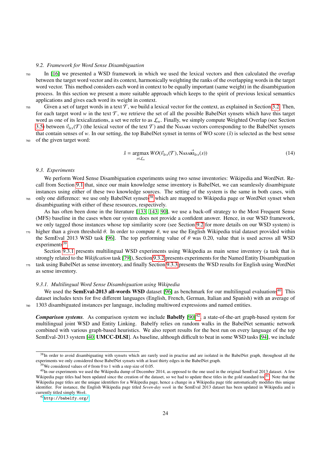#### <span id="page-24-0"></span>*9.2. Framework for Word Sense Disambiguation*

- <sup>750</sup> In [\[16\]](#page-31-8) we presented a WSD framework in which we used the lexical vectors and then calculated the overlap between the target word vector and its context, harmonically weighting the ranks of the overlapping words in the target word vector. This method considers each word in context to be equally important (same weight) in the disambiguation process. In this section we present a more suitable approach which keeps to the spirit of previous lexical semantics applications and gives each word its weight in context.
- $755$  Given a set of target words in a text  $\mathcal{T}$ , we build a lexical vector for the context, as explained in Section [3.2.](#page-6-0) Then, for each target word *w* in the text  $\mathcal{T}$ , we retrieve the set of all the possible BabelNet synsets which have this target word as one of its lexicalizations, a set we refer to as  $\mathcal{L}_w$ . Finally, we simply compute Weighted Overlap (see Section [3.5\)](#page-8-7) between  $\vec{v}_{lex}(\mathcal{T})$  (the lexical vector of the text  $\mathcal{T}$ ) and the Nasari vectors corresponding to the BabelNet synsets that contain senses of  $w$ . In our setting, the top BabelNet synset in terms of WO score  $(\hat{s})$  is selected as the best sense <sup>760</sup> of the given target word:

$$
\hat{s} = \underset{s \in \mathcal{L}_w}{\operatorname{argmax}} \, WO(\vec{v}_{lex}(\mathcal{T}), \text{Nasa} \vec{R}_{lex}(s)) \tag{14}
$$

#### <span id="page-24-1"></span>*9.3. Experiments*

We perform Word Sense Disambiguation experiments using two sense inventories: Wikipedia and WordNet. Recall from Section [9.1](#page-23-2) that, since our main knowledge sense inventory is BabelNet, we can seamlessly disambiguate instances using either of these two knowledge sources. The setting of the system is the same in both cases, with 765 only one difference: we use only BabelNet synsets<sup>[38](#page-24-2)</sup> which are mapped to Wikipedia page or WordNet synset when disambiguating with either of these resources, respectively.

As has often been done in the literature [\[133,](#page-35-9) [143,](#page-35-10) [90\]](#page-33-27), we use a back-off strategy to the Most Frequent Sense (MFS) baseline in the cases when our system does not provide a confident answer. Hence, in our WSD framework, we only tagged those instances whose top similarity score (see Section [9.2](#page-24-0) for more details on our WSD system) is

higher than a given threshold  $\theta$ . In order to compute  $\theta$ , we use the English Wikipedia trial dataset provided within the SemEval 2013 WSD task [\[96\]](#page-34-17). The top performing value of  $\theta$  was 0.20, value that is used across all WSD experiments<sup>[39](#page-24-3)</sup>.

Section [9.3.1](#page-24-4) presents multilingual WSD experiments using Wikipedia as main sense inventory (a task that is strongly related to the *Wikification* task [\[79\]](#page-33-24)), Section [9.3.2](#page-25-0) presents experiments for the Named Entity Disambiguation <sup>775</sup> task using BabelNet as sense inventory, and finally Section [9.3.3](#page-25-1) presents the WSD results for English using WordNet as sense inventory.

#### <span id="page-24-4"></span>*9.3.1. Multilingual Word Sense Disambiguation using Wikipedia*

We used the SemEval-2013 all-words WSD dataset [\[96\]](#page-34-17) as benchmark for our multilingual evaluations<sup>[40](#page-24-5)</sup>. This dataset includes texts for five different languages (English, French, German, Italian and Spanish) with an average of <sup>780</sup> 1303 disambiguated instances per language, including multiword expressions and named entities.

*Comparison systems.* As comparison system we include **Babelfy** [\[90\]](#page-33-27)<sup>[42](#page-24-6)</sup>, a state-of-the-art graph-based system for multilingual joint WSD and Entity Linking. Babelfy relies on random walks in the BabelNet semantic network combined with various graph-based heuristics. We also report results for the best run on every language of the top SemEval-2013 system [\[40,](#page-32-27) UMCC-DLSI]. As baseline, although difficult to beat in some WSD tasks [\[94\]](#page-33-0), we include

<span id="page-24-2"></span><sup>&</sup>lt;sup>38</sup>In order to avoid disambiguating with synsets which are rarely used in practise and are isolated in the BabelNet graph, throughout all the experiments we only considered those BabelNet synsets with at least thirty edges in the BabelNet graph.

<span id="page-24-5"></span><span id="page-24-3"></span><sup>&</sup>lt;sup>39</sup>We considered values of  $\theta$  from 0 to 1 with a step size of 0.05.

 $40$ In our experiments we used the Wikipedia dump of December 2014, as opposed to the one used in the original SemEval 2013 dataset. A few Wikipedia page titles had been updated since the creation of the dataset, so we had to update these titles in the gold standard too $4^1$ . Note that the Wikipedia page titles are the unique identifiers for a Wikipedia page, hence a change in a Wikipedia page title automatically modifies this unique identifier. For instance, the English Wikipedia page titled *Seven-day week* in the SemEval 2013 dataset has been updated in Wikipedia and is currently titled simply *Week*.

<span id="page-24-6"></span><sup>42</sup><http://babelfy.org/>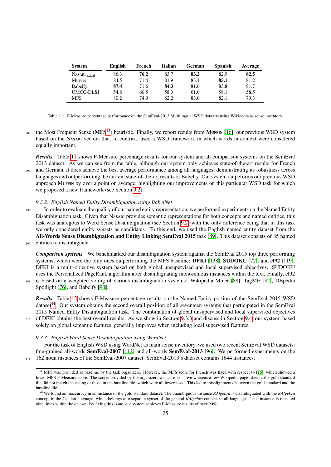| <b>System</b>             | English | French | Italian | German | <b>Spanish</b> | Average |
|---------------------------|---------|--------|---------|--------|----------------|---------|
| NASARI <sub>lexical</sub> | 86.3    | 76.2   | 83.7    | 83.2   | 82.9           | 82.5    |
| <b>MUFFIN</b>             | 84.5    | 71.4   | 81.9    | 83.1   | 85.1           | 81.2    |
| <b>Babelfy</b>            | 87.4    | 71.6   | 84.3    | 81.6   | 83.8           | 81.7    |
| <b>UMCC-DLSI</b>          | 54.8    | 60.5   | 58.3    | 61.0   | 58.1           | 58.5    |
| MFS                       | 80.2    | 74.9   | 82.2    | 83.0   | 82.1           | 79.3    |

<span id="page-25-3"></span>Table 11: F-Measure percentage performance on the SemEval-2013 Multilingual WSD datasets using Wikipedia as sense inventory.

 $\tau$ <sup>85</sup> the Most Frequent Sense (MFS<sup>[43](#page-25-2)</sup>) heuristic. Finally, we report results from Murrum [\[16\]](#page-31-8), our previous WSD system based on the Nasari vectors that, in contrast, used a WSD framework in which words in context were considered equally important.

*Results.* Table [11](#page-25-3) shows F-Measure percentage results for our system and all comparison systems on the SemEval 2013 dataset. As we can see from the table, although our system only achieves state-of-the-art results for French <sup>790</sup> and German, it does achieve the best average performance among all languages, demonstrating its robustness across

languages and outperforming the current state-of-the-art results of Babelfy. Our system outpeforms our previous WSD approach Muffin by over a point on average, highlighting our improvements on this particular WSD task for which we proposed a new framework (see Section [9.2\)](#page-24-0).

#### <span id="page-25-0"></span>*9.3.2. English Named Entity Disambiguation using BabelNet*

<sup>795</sup> In order to evaluate the quality of our named entity representation, we performed experiments on the Named Entity Disambiguation task. Given that Nasari provides semantic representations for both concepts and named entities, this task was analogous to Word Sense Disambiguation (see Section [9.2\)](#page-24-0) with the only difference being that in this task we only considered entity synsets as candidates. To this end, we used the English named entity dataset from the All-Words Sense Disambiguation and Entity Linking SemEval 2015 task [\[89\]](#page-33-16). This dataset consists of 85 named <sup>800</sup> entities to disambiguate.

*Comparison systems.* We benchmarked our disambiguation system against the SemEval 2015 top three performing systems, which were the only ones outperforming the MFS baseline: DFKI [\[138\]](#page-35-11), SUDOKU [\[72\]](#page-33-28), and el92 [\[119\]](#page-34-28). DFKI is a multi-objective system based on both global unsupervised and local supervised objectives. SUDOKU uses the Personalized PageRank algorithm after disambiguating monosemous instances within the text. Finally, el92

<sup>805</sup> is based on a weighted voting of various disambiguation systems: Wikipedia Miner [\[88\]](#page-33-29), TagME [\[32\]](#page-32-28), DBpedia Spotlight [\[76\]](#page-33-30), and Babelfy [\[90\]](#page-33-27).

*Results.* Table [12](#page-26-0) shows F-Measure percentage results on the Named Entity portion of the SemEval 2015 WSD dataset<sup>[44](#page-25-4)</sup>. Our system obtains the second overall position of all seventeen systems that participated in the SemEval 2015 Named Entity Disambiguation task. The combination of global unsupervised and local supervised objectives 810 of DFKI obtains the best overall results. As we show in Section [9.3.3](#page-25-1) and discuss in Section [9.4,](#page-26-1) our system, based solely on global semantic features, generally improves when including local supervised features.

#### <span id="page-25-1"></span>*9.3.3. English Word Sense Disambiguation using WordNet*

For the task of English WSD using WordNet as main sense inventory, we used two recent SemEval WSD datasets: fine-grained all-words SemEval-2007 [\[112\]](#page-34-18) and all-words SemEval-2013 [\[96\]](#page-34-17). We performed experiments on the 815 162 noun instances of the SemEval-2007 dataset. SemEval-2013's dataset contains 1644 instances.

<span id="page-25-2"></span><sup>&</sup>lt;sup>43</sup>MFS was provided as baseline by the task organizers. However, the MFS score for French was fixed with respect to [\[16\]](#page-31-8), which showed a lower MFS F-Measure score. The scorer provided by the organizers was case-sensitive whereas a few Wikipedia page titles in the gold standard file did not match the casing of those in the baseline file, which were all lowercased. This led to misalignments between the gold standard and the baseline file.

<span id="page-25-4"></span><sup>44</sup>We found an inaccuracy in an instance of the gold standard dataset. The unambiguous instance *KAlgebra* is disambiguated with the *KAlgebra* concept in the Catalan language, which belongs to a separate synset of the general *KAlgebra* concept in all languages. This instance is repeated nine times within the dataset. By fixing this issue, our system achieves F-Measure results of over 90%.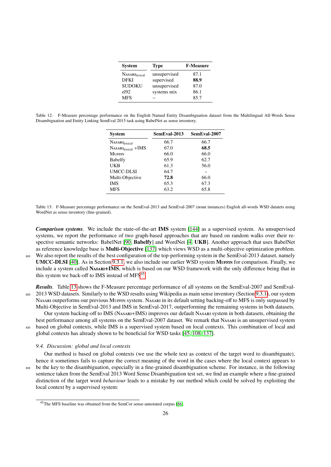| <b>System</b>                    | <b>Type</b>  | <b>F-Measure</b> |
|----------------------------------|--------------|------------------|
| <b>NASARI</b> <sub>lexical</sub> | unsupervised | 87.1             |
| <b>DFKI</b>                      | supervised   | 88.9             |
| <b>SUDOKU</b>                    | unsupervised | 87.0             |
| $e$ 192                          | systems mix  | 86.1             |
| <b>MFS</b>                       |              | 85.7             |

<span id="page-26-0"></span>Table 12: F-Measure percentage performance on the English Named Entity Disambiguation dataset from the Multilingual All-Words Sense Disambiguation and Entity Linking SemEval 2015 task using BabelNet as sense inventory.

| <b>System</b>             | SemEval-2013 | SemEval-2007 |  |  |
|---------------------------|--------------|--------------|--|--|
| NASARI <sub>lexical</sub> | 66.7         | 66.7         |  |  |
| $NASARIlexical + IMS$     | 67.0         | 68.5         |  |  |
| MUFFIN                    | 66.0         | 66.0         |  |  |
| Babelfy                   | 65.9         | 62.7         |  |  |
| UKB                       | 61.3         | 56.0         |  |  |
| UMCC-DLSI                 | 64.7         |              |  |  |
| Multi-Objective           | 72.8         | 66.0         |  |  |
| <b>IMS</b>                | 65.3         | 67.3         |  |  |
| <b>MFS</b>                | 63.2         | 65.8         |  |  |
|                           |              |              |  |  |

<span id="page-26-3"></span>Table 13: F-Measure percentage performance on the SemEval-2013 and SemEval-2007 (noun instances) English all-words WSD datatets using WordNet as sense inventory (fine-grained).

*Comparison systems.* We include the state-of-the-art IMS system [\[144\]](#page-35-12) as a supervised system. As unsupervised systems, we report the performance of two graph-based approaches that are based on random walks over their re-spective semantic networks: BabelNet [\[90,](#page-33-27) Babelfy] and WordNet [\[4,](#page-31-20) UKB]. Another approach that uses BabelNet as reference knowledge base is Multi-Objective [\[137\]](#page-35-8) which views WSD as a multi-objective optimization problem.

820 We also report the results of the best configuration of the top-performing system in the SemEval-2013 dataset, namely UMCC-DLSI [\[40\]](#page-32-27). As in Section [9.3.1,](#page-24-4) we also include our earlier WSD system Muffin for comparison. Finally, we include a system called NASARI+IMS, which is based on our WSD framework with the only difference being that in this system we back-off to IMS instead of MFS<sup>[45](#page-26-2)</sup>.

*Results.* Table [13](#page-26-3) shows the F-Measure percentage performance of all systems on the SemEval-2007 and SemEval-825 2013 WSD datasets. Similarly to the WSD results using Wikipedia as main sense inventory (Section [9.3.1\)](#page-24-4), our system Nasari outperforms our previous Muffin system. Nasari in its default setting backing-off to MFS is only surpassed by Multi-Objective in SemEval-2013 and IMS in SemEval-2017, outperforming the remaining systems in both datasets. Our system backing-off to IMS (Nasari+IMS) improves our default Nasari system in both datasets, obtaining the best performance among all systems on the SemEval-2007 dataset. We remark that Nasari is an unsupervised system

830 based on global contexts, while IMS is a supervised system based on local contexts. This combination of local and global contexts has already shown to be beneficial for WSD tasks [\[45,](#page-32-29) [108,](#page-34-29) [137\]](#page-35-8).

#### <span id="page-26-1"></span>*9.4. Discussion: global and local contexts*

Our method is based on global contexts (we use the whole text as context of the target word to disambiguate), hence it sometimes fails to capture the correct meaning of the word in the cases where the local context appears to 835 be the key to the disambiguation, especially in a fine-grained disambiguation scheme. For instance, in the following sentence taken from the SemEval 2013 Word Sense Disambiguation test set, we find an example where a fine-grained distinction of the target word *behaviour* leads to a mistake by our method which could be solved by exploiting the local context by a supervised system:

<span id="page-26-2"></span><sup>45</sup>The MFS baseline was obtained from the SemCor sense-annotated corpus [\[86\]](#page-33-7).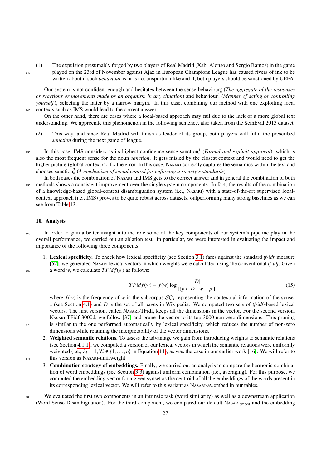(1) The expulsion presumably forged by two players of Real Madrid (Xabi Alonso and Sergio Ramos) in the game <sup>840</sup> played on the 23rd of November against Ajax in European Champions League has caused rivers of ink to be written about if such *behaviour* is or is not unsportmanlike and if, both players should be sanctioned by UEFA.

Our system is not confident enough and hesitates between the sense behaviour $^3_n$  (*The aggregate of the responses or reactions or movements made by an organism in any situation*) and behaviour<sup>4</sup><sub>n</sub> (*Manner of acting or controlling yourself*), selecting the latter by a narrow margin. In this case, combining our method with one exploiting local contexts such as IMS would lead to the correct answer.

On the other hand, there are cases where a local-based approach may fail due to the lack of a more global text understanding. We appreciate this phenomenon in the following sentence, also taken from the SemEval 2013 dataset:

- (2) This way, and since Real Madrid will finish as leader of its group, both players will fulfil the prescribed *sanction* during the next game of league.
- $\epsilon_{\text{850}}$  In this case, IMS considers as its highest confidence sense sanction<sub>n</sub><sup>1</sup> (*Formal and explicit approval*), which is also the most frequent sense for the noun *sanction*. It gets misled by the closest context and would need to get the higher picture (global context) to fix the error. In this case, Nasari correctly captures the semantics within the text and chooses sanction $_n^2$  (*A mechanism of social control for enforcing a society's standards*).
- In both cases the combination of Nasari and IMS gets to the correct answer and in general the combination of both methods shows a consistent improvement over the single system components. In fact, the results of the combination of a knowledge-based global-context disambiguation system (i.e., Nasari) with a state-of-the-art supervised localcontext approach (i.e., IMS) proves to be quite robust across datasets, outperforming many strong baselines as we can see from Table [13.](#page-26-3)

#### <span id="page-27-0"></span>10. Analysis

<sup>860</sup> In order to gain a better insight into the role some of the key components of our system's pipeline play in the overall performance, we carried out an ablation test. In particular, we were interested in evaluating the impact and importance of the following three components:

1. Lexical specificity. To check how lexical specificity (see Section [3.1\)](#page-4-1) fares against the standard *tf-idf* measure [\[52\]](#page-32-11), we generated Nasari lexical vectors in which weights were calculated using the conventional *tf-idf*. Given <sup>865</sup> a word *w*, we calculate *T Fid f*(*w*) as follows:

$$
TFidf(w) = f(w) \log \frac{|D|}{|\{p \in D : w \in p\}|}
$$
\n(15)

where  $f(w)$  is the frequency of *w* in the subcorpus  $SC_s$  representing the contextual information of the synset *s* (see Section [4.1\)](#page-9-0) and *D* is the set of all pages in Wikipedia. We computed two sets of *tf-idf*-based lexical vectors. The first version, called Nasari-TFidf, keeps all the dimensions in the vector. For the second version, Nasari-TFidf-3000d, we follow [\[37\]](#page-32-30) and prune the vector to its top 3000 non-zero dimensions. This pruning 870 is similar to the one performed automatically by lexical specificity, which reduces the number of non-zero dimensions while retaining the interpretability of the vector dimensions.

- 2. Weighted semantic relations. To assess the advantage we gain from introducing weights to semantic relations (see Section [4.1.1\)](#page-9-4), we computed a version of our lexical vectors in which the semantic relations were uniformly weighted (i.e.,  $\lambda_i = 1$ ,  $\forall i \in \{1, ..., n\}$  in Equation [11\)](#page-9-3), as was the case in our earlier work [\[16\]](#page-31-8). We will refer to <sup>875</sup> this version as Nasari-unif.weight.
	- 3. Combination strategy of embeddings. Finally, we carried out an analysis to compare the harmonic combination of word embeddings (see Section [3.3\)](#page-7-0) against uniform combination (i.e., averaging). For this purpose, we computed the embedding vector for a given synset as the centroid of all the embeddings of the words present in its corresponding lexical vector. We will refer to this variant as Nasari-av.embed in our tables.
- We evaluated the first two components in an intrinsic task (word similarity) as well as a downstream application (Word Sense Disambiguation). For the third component, we compared our default NASARI<sub>embed</sub> and the embedding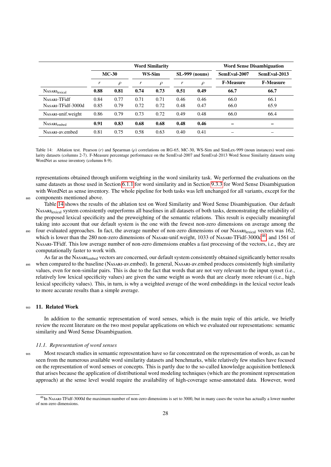|                           | <b>Word Similarity</b> |        |        |        |                  |        | <b>Word Sense Disambiguation</b> |                  |
|---------------------------|------------------------|--------|--------|--------|------------------|--------|----------------------------------|------------------|
|                           | <b>MC-30</b>           |        | WS-Sim |        | $SL-999$ (nouns) |        | SemEval-2007                     | SemEval-2013     |
|                           | r                      | $\rho$ | r      | $\rho$ | r                | $\rho$ | <b>F-Measure</b>                 | <b>F-Measure</b> |
| NASARI <sub>lexical</sub> | 0.88                   | 0.81   | 0.74   | 0.73   | 0.51             | 0.49   | 66.7                             | 66.7             |
| NASARI-TFidf              | 0.84                   | 0.77   | 0.71   | 0.71   | 0.46             | 0.46   | 66.0                             | 66.1             |
| NASARI-TFidf-3000d        | 0.85                   | 0.79   | 0.72   | 0.72   | 0.48             | 0.47   | 66.0                             | 65.9             |
| NASARI-unif.weight        | 0.86                   | 0.79   | 0.73   | 0.72   | 0.49             | 0.48   | 66.0                             | 66.4             |
| NASARI <sub>embed</sub>   | 0.91                   | 0.83   | 0.68   | 0.68   | 0.48             | 0.46   |                                  | -                |
| NASARI-av.embed           | 0.81                   | 0.75   | 0.58   | 0.63   | 0.40             | 0.41   |                                  | –                |

<span id="page-28-1"></span>Table 14: Ablation test. Pearson (*r*) and Spearman (ρ) correlations on RG-65, MC-30, WS-Sim and SimLex-999 (noun instances) word similarity datasets (columns 2-7). F-Measure percentage performance on the SemEval-2007 and SemEval-2013 Word Sense Similarity datasets using WordNet as sense inventory (columns 8-9).

representations obtained through uniform weighting in the word similarity task. We performed the evaluations on the same datasets as those used in Section [6.1.1](#page-13-1) for word similarity and in Section [9.3.3](#page-25-1) for Word Sense Disambiguation with WordNet as sense inventory. The whole pipeline for both tasks was left unchanged for all variants, except for the 885 components mentioned above.

Table [14](#page-28-1) shows the results of the ablation test on Word Similarity and Word Sense Disambiguation. Our default Nasardexical system consistently outperforms all baselines in all datasets of both tasks, demonstrating the reliability of the proposed lexical specificity and the preweighting of the semantic relations. This result is especially meaningful taking into account that our default system is the one with the fewest non-zero dimensions on average among the

four evaluated approaches. In fact, the average number of non-zero dimensions of our NASARI lexical vectors was 162, which is lower than the 280 non-zero dimensions of NASARI-unif.weight, 1033 of NASARI-TFidf-3000d<sup>[46](#page-28-2)</sup>, and 1561 of Nasari-TFidf. This low average number of non-zero dimensions enables a fast processing of the vectors, i.e., they are computationally faster to work with.

As far as the NASARI<sub>embed</sub> vectors are concerned, our default system consistently obtained significantly better results 895 when compared to the baseline (NASARI-av.embed). In general, NASARI-av.embed produces consistently high similarity values, even for non-similar pairs. This is due to the fact that words that are not very relevant to the input synset (i.e., relatively low lexical specificity values) are given the same weight as words that are clearly more relevant (i.e., high lexical specificity values). This, in turn, is why a weighted average of the word embeddings in the lexical vector leads to more accurate results than a simple average.

#### <span id="page-28-0"></span><sup>900</sup> 11. Related Work

In addition to the semantic representation of word senses, which is the main topic of this article, we briefly review the recent literature on the two most popular applications on which we evaluated our representations: semantic similarity and Word Sense Disambiguation.

#### *11.1. Representation of word senses*

<sup>905</sup> Most research studies in semantic representation have so far concentrated on the representation of words, as can be seen from the numerous available word similarity datasets and benchmarks, while relatively few studies have focused on the representation of word senses or concepts. This is partly due to the so-called knowledge acquisition bottleneck that arises because the application of distributional word modeling techniques (which are the prominent representation approach) at the sense level would require the availability of high-coverage sense-annotated data. However, word

<span id="page-28-2"></span><sup>&</sup>lt;sup>46</sup>In NASARI-TFidf-3000d the maximum number of non-zero dimensions is set to 3000, but in many cases the vector has actually a lower number of non-zero dimensions.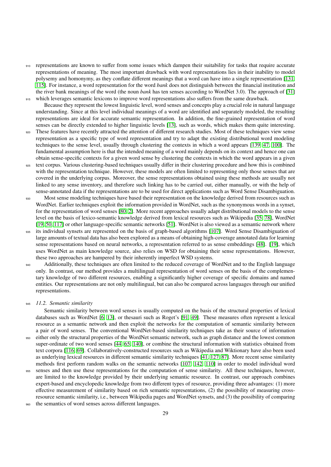- 910 representations are known to suffer from some issues which dampen their suitability for tasks that require accurate representations of meaning. The most important drawback with word representations lies in their inability to model polysemy and homonymy, as they conflate different meanings that a word can have into a single representation [\[131,](#page-35-13) [115\]](#page-34-11). For instance, a word representation for the word *bank* does not distinguish between the financial institution and the river bank meanings of the word (the noun *bank* has ten senses according to WordNet 3.0). The approach of [\[31\]](#page-32-23) <sup>915</sup> which leverages semantic lexicons to improve word representations also suffers from the same drawback.
- Because they represent the lowest linguistic level, word senses and concepts play a crucial role in natural language understanding. Since at this level individual meanings of a word are identified and separately modeled, the resulting representations are ideal for accurate semantic representation. In addition, the fine-grained representation of word senses can be directly extended to higher linguistic levels [\[13\]](#page-31-0), such as words, which makes them quite interesting.
- These features have recently attracted the attention of different research studies. Most of these techniques view sense representation as a specific type of word representation and try to adapt the existing distributional word modeling techniques to the sense level, usually through clustering the contexts in which a word appears [\[139,](#page-35-5) [47,](#page-32-8) [100\]](#page-34-14). The fundamental assumption here is that the intended meaning of a word mainly depends on its context and hence one can obtain sense-specific contexts for a given word sense by clustering the contexts in which the word appears in a given
- <sup>925</sup> text corpus. Various clustering-based techniques usually differ in their clustering procedure and how this is combined with the representation technique. However, these models are often limited to representing only those senses that are covered in the underlying corpus. Moreover, the sense representations obtained using these methods are usually not linked to any sense inventory, and therefore such linking has to be carried out, either manually, or with the help of sense-annotated data if the representations are to be used for direct applications such as Word Sense Disambiguation.
- <sup>930</sup> Most sense modeling techniques have based their representation on the knowledge derived from resources such as WordNet. Earlier techniques exploit the information provided in WordNet, such as the synonymous words in a synset, for the representation of word senses [\[80,](#page-33-31) [2\]](#page-31-21). More recent approaches usually adapt distributional models to the sense level on the basis of lexico-semantic knowledge derived from lexical resources such as Wikipedia [\[35,](#page-32-19) [78\]](#page-33-23), WordNet [\[19,](#page-31-7) [50,](#page-32-31) [117\]](#page-34-12) or other language-specific semantic networks [\[51\]](#page-32-32). WordNet is also viewed as a semantic network where
- <sup>935</sup> its individual synsets are represented on the basis of graph-based algorithms [\[107\]](#page-34-0). Word Sense Disambiguation of large amounts of textual data has also been explored as a means of obtaining high-coverage annotated data for learning sense representations based on neural networks, a representation referred to as sense embeddings [\[48\]](#page-32-9). [\[19\]](#page-31-7), which uses WordNet as main knowledge source, also relies on WSD for obtaining their sense representations. However, these two approaches are hampered by their inherently imperfect WSD systems.
- <sup>940</sup> Additionally, these techniques are often limited to the reduced coverage of WordNet and to the English language only. In contrast, our method provides a multilingual representation of word senses on the basis of the complementary knowledge of two different resources, enabling a significantly higher coverage of specific domains and named entities. Our representations are not only multilingual, but can also be compared across languages through our unified representations.

#### <sup>945</sup> *11.2. Semantic similarity*

Semantic similarity between word senses is usually computed on the basis of the structural properties of lexical databases such as WordNet [\[6,](#page-31-22) [13\]](#page-31-0), or thesauri such as Roget's [\[91,](#page-33-32) [49\]](#page-32-33). These measures often represent a lexical resource as a semantic network and then exploit the networks for the computation of semantic similarity between a pair of word senses. The conventional WordNet-based similarity techniques take as their source of information

- either only the structural properties of the WordNet semantic network, such as graph distance and the lowest common super-ordinate of two word senses [\[44,](#page-32-34) [65,](#page-33-33) [140\]](#page-35-14), or combine the structural information with statistics obtained from text corpora [\[116,](#page-34-19) [69\]](#page-33-17). Collaboratively-constructed resources such as Wikipedia and Wiktionary have also been used as underlying lexical resources in different semantic similarity techniques [\[41,](#page-32-24) [127,](#page-34-30) [87\]](#page-33-34). More recent sense similarity methods first perform random walks on the semantic networks [\[107,](#page-34-0) [142,](#page-35-15) [110\]](#page-34-31) in order to model individual word
- <sup>955</sup> senses and then use these representations for the computation of sense similarity. All these techniques, however, are limited to the knowledge provided by their underlying semantic resource. In contrast, our approach combines expert-based and encyclopedic knowledge from two different types of resource, providing three advantages: (1) more effective measurement of similarity based on rich semantic representations, (2) the possibility of measuring crossresource semantic similarity, i.e., between Wikipedia pages and WordNet synsets, and (3) the possibility of comparing
- the semantics of word senses across different languages.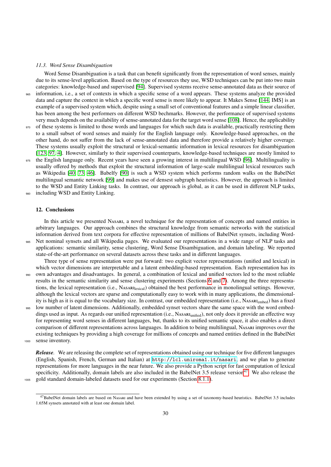#### *11.3. Word Sense Disambiguation*

Word Sense Disambiguation is a task that can benefit significantly from the representation of word senses, mainly due to its sense-level application. Based on the type of resources they use, WSD techniques can be put into two main categories: knowledge-based and supervised [\[94\]](#page-33-0). Supervised systems receive sense-annotated data as their source of <sup>965</sup> information, i.e., a set of contexts in which a specific sense of a word appears. These systems analyze the provided data and capture the context in which a specific word sense is more likely to appear. It Makes Sense [\[144,](#page-35-12) IMS] is an example of a supervised system which, despite using a small set of conventional features and a simple linear classifier, has been among the best performers on different WSD bechmarks. However, the performance of supervised systems very much depends on the availability of sense-annotated data for the target word sense [\[108\]](#page-34-29). Hence, the applicability 970 of these systems is limited to those words and languages for which such data is available, practically restricting them to a small subset of word senses and mainly for the English language only. Knowledge-based approaches, on the other hand, do not suffer from the lack of sense-annotated data and therefore provide a relatively higher coverage. These systems usually exploit the structural or lexical-semantic information in lexical resources for disambiguation

[\[123,](#page-34-32) [97,](#page-34-33) [4\]](#page-31-20). However, similarly to their supervised counterparts, knowledge-based techniques are mostly limited to <sup>975</sup> the English language only. Recent years have seen a growing interest in multilingual WSD [\[96\]](#page-34-17). Multilinguality is usually offered by methods that exploit the structural information of large-scale multilingual lexical resources such as Wikipedia [\[40,](#page-32-27) [73,](#page-33-35) [46\]](#page-32-10). Babelfy [\[90\]](#page-33-27) is such a WSD system which performs random walks on the BabelNet multilingual semantic network [\[99\]](#page-34-3) and makes use of densest subgraph heuristics. However, the approach is limited to the WSD and Entity Linking tasks. In contrast, our approach is global, as it can be used in different NLP tasks,

980 including WSD and Entity Linking.

#### <span id="page-30-0"></span>12. Conclusions

In this article we presented Nasari, a novel technique for the representation of concepts and named entities in arbitrary languages. Our approach combines the structural knowledge from semantic networks with the statistical information derived from text corpora for effective representation of millions of BabelNet synsets, including Word-<sup>985</sup> Net nominal synsets and all Wikipedia pages. We evaluated our representations in a wide range of NLP tasks and applications: semantic similarity, sense clustering, Word Sense Disambiguation, and domain labeling. We reported

state-of-the-art performance on several datasets across these tasks and in different languages. Three type of sense representation were put forward: two explicit vector representations (unified and lexical) in which vector dimensions are interpretable and a latent embedding-based representation. Each representation has its

- <sup>990</sup> own advantages and disadvantages. In general, a combination of lexical and unified vectors led to the most reliable results in the semantic similarity and sense clustering experiments (Sections [6](#page-12-0) and [7\)](#page-17-0). Among the three representations, the lexical representation (i.e., NASARI<sub>lexical</sub>) obtained the best performance in monolingual settings. However, although the lexical vectors are sparse and computationally easy to work with in many applications, the dimensionality is high as it is equal to the vocabulary size. In contrast, our embedded representation (i.e., NASARI<sub>embed</sub>) has a fixed low number of latent dimensions. Additionally, embedded synset vectors share the same space with the word embed-
- dings used as input. As regards our unified representation (i.e., NASARI<sub>unified</sub>), not only does it provide an effective way for representing word senses in different languages, but, thanks to its unified semantic space, it also enables a direct comparison of different representations across languages. In addition to being multilingual, Nasari improves over the existing techniques by providing a high coverage for millions of concepts and named entities defined in the BabelNet <sup>1000</sup> sense inventory.
- 

*Release.* We are releasing the complete set of representations obtained using our technique for five different languages (English, Spanish, French, German and Italian) at <http://lcl.uniroma1.it/nasari>, and we plan to generate representations for more languages in the near future. We also provide a Python script for fast computation of lexical specificity. Additionally, domain labels are also included in the BabelNet  $3.5$  release version<sup>[47](#page-30-1)</sup>. We also release the <sup>1005</sup> gold standard domain-labeled datasets used for our experiments (Section [8.1.1\)](#page-20-2).

<span id="page-30-1"></span><sup>&</sup>lt;sup>47</sup>BabelNet domain labels are based on Nasari and have been extended by using a set of taxonomy-based heuristics. BabelNet 3.5 includes 1.65M synsets annotated with at least one domain label.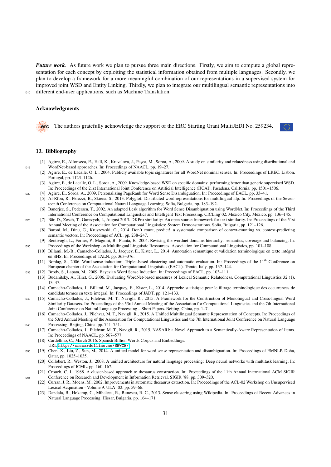*Future work*. As future work we plan to pursue three main directions. Firstly, we aim to compute a global representation for each concept by exploiting the statistical information obtained from multiple languages. Secondly, we plan to develop a framework for a more meaningful combination of our representations in a supervised system for improved joint WSD and Entity Linking. Thirdly, we plan to integrate our multilingual semantic representations into <sup>1010</sup> different end-user applications, such as Machine Translation.

#### Acknowledgments

The authors gratefully acknowledge the support of the ERC Starting Grant MultiJEDI No. 259234. erc



#### <span id="page-31-14"></span>13. Bibliography

- <span id="page-31-21"></span>[1] Agirre, E., Alfonseca, E., Hall, K., Kravalova, J., Pasca, M., Soroa, A., 2009. A study on similarity and relatedness using distributional and <sup>1015</sup> WordNet-based approaches. In: Proceedings of NAACL. pp. 19–27.
	- [2] Agirre, E., de Lacalle, O. L., 2004. Publicly available topic signatures for all WordNet nominal senses. In: Proceedings of LREC. Lisbon, Portugal, pp. 1123–1126.
	- [3] Agirre, E., de Lacalle, O. L., Soroa, A., 2009. Knowledge-based WSD on specific domains: performing better than generic supervised WSD. In: Proceedings of the 21st International Joint Conference on Artificial Intelligence (IJCAI). Pasadena, California, pp. 1501–1506.
- <span id="page-31-20"></span><span id="page-31-17"></span><sup>1020</sup> [4] Agirre, E., Soroa, A., 2009. Personalizing PageRank for Word Sense Disambiguation. In: Proceedings of EACL. pp. 33–41.
	- [5] Al-Rfou, R., Perozzi, B., Skiena, S., 2013. Polyglot: Distributed word representations for multilingual nlp. In: Proceedings of the Seventeenth Conference on Computational Natural Language Learning. Sofia, Bulgaria, pp. 183–192.
	- [6] Banerjee, S., Pedersen, T., 2002. An adapted Lesk algorithm for Word Sense Disambiguation using WordNet. In: Proceedings of the Third International Conference on Computational Linguistics and Intelligent Text Processing. CICLing'02. Mexico City, Mexico, pp. 136–145.
- <span id="page-31-22"></span><span id="page-31-15"></span><span id="page-31-4"></span>1025 [7] Bär, D., Zesch, T., Gurevych, I., August 2013. DKPro similarity: An open source framework for text similarity. In: Proceedings of the 51st Annual Meeting of the Association for Computational Linguistics: System Demonstrations. Sofia, Bulgaria, pp. 121–126.
	- [8] Baroni, M., Dinu, G., Kruszewski, G., 2014. Don't count, predict! a systematic comparison of context-counting vs. context-predicting semantic vectors. In: Proceedings of ACL. pp. 238–247.
- <span id="page-31-19"></span><span id="page-31-11"></span>[9] Bentivogli, L., Forner, P., Magnini, B., Pianta, E., 2004. Revising the wordnet domains hierarchy: semantics, coverage and balancing. In: <sup>1030</sup> Proceedings of the Workshop on Multilingual Linguistic Ressources. Association for Computational Linguistics, pp. 101–108.
	- [10] Billami, M.-B., Camacho-Collados, J., Jacquey, E., Kister, L., 2014. Annotation sémantique et validation terminologique en texte intégral en SHS. In: Proceedings of TALN. pp. 363–376.
	- [11] Bordag, S., 2006. Word sense induction: Triplet-based clustering and automatic evaluation. In: Proceedings of the 11*th* Conference on European chapter of the Association for Computational Linguistics (EACL). Trento, Italy, pp. 137–144.
- <span id="page-31-6"></span><span id="page-31-5"></span><span id="page-31-0"></span><sup>1035</sup> [12] Brody, S., Lapata, M., 2009. Bayesian Word Sense Induction. In: Proceedings of EACL. pp. 103–111.
	- [13] Budanitsky, A., Hirst, G., 2006. Evaluating WordNet-based measures of Lexical Semantic Relatedness. Computational Linguistics 32 (1), 13–47.
	- [14] Camacho-Collados, J., Billami, M., Jacquey, E., Kister, L., 2014. Approche statistique pour le filtrage terminologique des occurrences de candidats termes en texte intégral. In: Proceedings of JADT. pp. 121-133.
- <span id="page-31-12"></span><span id="page-31-10"></span><sup>1040</sup> [15] Camacho-Collados, J., Pilehvar, M. T., Navigli, R., 2015. A Framework for the Construction of Monolingual and Cross-lingual Word Similarity Datasets. In: Proceedings of the 53rd Annual Meeting of the Association for Computational Linguistics and the 7th International Joint Conference on Natural Language Processing – Short Papers. Beijing, China, pp. 1–7.
- <span id="page-31-9"></span><span id="page-31-8"></span>[16] Camacho-Collados, J., Pilehvar, M. T., Navigli, R., 2015. A Unified Multilingual Semantic Representation of Concepts. In: Proceedings of the 53rd Annual Meeting of the Association for Computational Linguistics and the 7th International Joint Conference on Natural Language <sup>1045</sup> Processing. Beijing, China, pp. 741–751.
	- [17] Camacho-Collados, J., Pilehvar, M. T., Navigli, R., 2015. NASARI: a Novel Approach to a Semantically-Aware Representation of Items. In: Proceedings of NAACL. pp. 567–577.
	- [18] Cardellino, C., March 2016. Spanish Billion Words Corpus and Embeddings.
	- URL <http://crscardellino.me/SBWCE/>
- <span id="page-31-16"></span><span id="page-31-7"></span><span id="page-31-3"></span><sup>1050</sup> [19] Chen, X., Liu, Z., Sun, M., 2014. A unified model for word sense representation and disambiguation. In: Proceedings of EMNLP. Doha, Qatar, pp. 1025–1035.
	- [20] Collobert, R., Weston, J., 2008. A unified architecture for natural language processing: Deep neural networks with multitask learning. In: Proceedings of ICML. pp. 160–167.
- <span id="page-31-13"></span><span id="page-31-2"></span><span id="page-31-1"></span>[21] Crouch, C. J., 1988. A cluster-based approach to thesaurus construction. In: Proceedings of the 11th Annual International ACM SIGIR <sup>1055</sup> Conference on Research and Development in Information Retrieval. SIGIR '88. pp. 309–320.
	- [22] Curran, J. R., Moens, M., 2002. Improvements in automatic thesaurus extraction. In: Proceedings of the ACL-02 Workshop on Unsupervised Lexical Acquisition - Volume 9. ULA '02. pp. 59–66.
		- [23] Dandala, B., Hokamp, C., Mihalcea, R., Bunescu, R. C., 2013. Sense clustering using Wikipedia. In: Proceedings of Recent Advances in Natural Language Processing. Hissar, Bulgaria, pp. 164–171.

<span id="page-31-18"></span>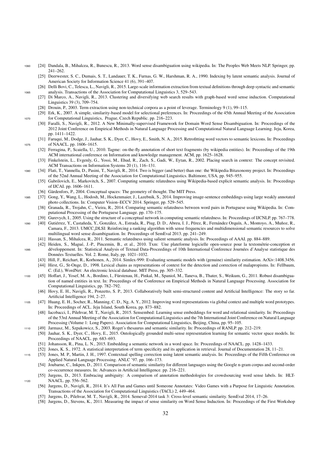- <span id="page-32-25"></span><span id="page-32-0"></span><sup>1060</sup> [24] Dandala, B., Mihalcea, R., Bunescu, R., 2013. Word sense disambiguation using wikipedia. In: The Peoples Web Meets NLP. Springer, pp. 241–262.
	- [25] Deerwester, S. C., Dumais, S. T., Landauer, T. K., Furnas, G. W., Harshman, R. A., 1990. Indexing by latent semantic analysis. Journal of American Society for Information Science 41 (6), 391–407.
- <span id="page-32-15"></span><span id="page-32-5"></span>[26] Delli Bovi, C., Telesca, L., Navigli, R., 2015. Large-scale information extraction from textual definitions through deep syntactic and semantic <sup>1065</sup> analysis. Transactions of the Association for Computational Linguistics 3, 529–543.
	- [27] Di Marco, A., Navigli, R., 2013. Clustering and diversifying web search results with graph-based word sense induction. Computational Linguistics 39 (3), 709–754.
	- [28] Drouin, P., 2003. Term extraction using non-technical corpora as a point of leverage. Terminology 9 (1), 99–115.
- <span id="page-32-26"></span><span id="page-32-12"></span><span id="page-32-1"></span>[29] Erk, K., 2007. A simple, similarity-based model for selectional preferences. In: Proceedings of the 45th Annual Meeting of the Association <sup>1070</sup> for Computational Linguistics, Prague, Czech Republic. pp. 216–223.
	- [30] Faralli, S., Navigli, R., 2012. A New Minimally-supervised Framework for Domain Word Sense Disambiguation. In: Proceedings of the 2012 Joint Conference on Empirical Methods in Natural Language Processing and Computational Natural Language Learning. Jeju, Korea, pp. 1411–1422.
- <span id="page-32-28"></span><span id="page-32-23"></span>[31] Faruqui, M., Dodge, J., Jauhar, S. K., Dyer, C., Hovy, E., Smith, N. A., 2015. Retrofitting word vectors to semantic lexicons. In: Proceedings <sup>1075</sup> of NAACL. pp. 1606–1615.
	- [32] Ferragina, P., Scaiella, U., 2010. Tagme: on-the-fly annotation of short text fragments (by wikipedia entities). In: Proceedings of the 19th ACM international conference on Information and knowledge management. ACM, pp. 1625–1628.
	- [33] Finkelstein, L., Evgenly, G., Yossi, M., Ehud, R., Zach, S., Gadi, W., Eytan, R., 2002. Placing search in context: The concept revisited. ACM Transactions on Information Systems 20 (1), 116–131.
- <span id="page-32-19"></span><span id="page-32-16"></span><span id="page-32-14"></span><sup>1080</sup> [34] Flati, T., Vannella, D., Pasini, T., Navigli, R., 2014. Two is bigger (and better) than one: the Wikipedia Bitaxonomy project. In: Proceedings of the 52nd Annual Meeting of the Association for Computational Linguistics. Baltimore, USA, pp. 945–955.
	- [35] Gabrilovich, E., Markovitch, S., 2007. Computing semantic relatedness using Wikipedia-based explicit semantic analysis. In: Proceedings of IJCAI. pp. 1606–1611.
	- [36] Gärdenfors, P., 2004. Conceptual spaces: The geometry of thought. The MIT Press.
- <span id="page-32-30"></span><span id="page-32-22"></span><span id="page-32-3"></span><sup>1085</sup> [37] Gong, Y., Wang, L., Hodosh, M., Hockenmaier, J., Lazebnik, S., 2014. Improving image-sentence embeddings using large weakly annotated photo collections. In: Computer Vision–ECCV 2014. Springer, pp. 529–545.
	- [38] Granada, R., Trojahn, C., Vieira, R., 2014. Comparing semantic relatedness between word pairs in Portuguese using Wikipedia. In: Computational Processing of the Portuguese Language. pp. 170–175.
	- [39] Gurevych, I., 2005. Using the structure of a conceptual network in computing semantic relatedness. In: Proceedings of IJCNLP. pp. 767–778.
- <span id="page-32-27"></span><span id="page-32-21"></span>1090 [40] Gutiérrez, Y., Castañeda, Y., González, A., Estrada, R., Piug, D. D., Abreu, I. J., Pérez, R., Fernández Orquín, A., Montoyo, A., Muñoz, R., Camara, F., 2013. UMCC DLSI: Reinforcing a ranking algorithm with sense frequencies and multidimensional semantic resources to solve multilingual word sense disambiguation. In: Proceedings of SemEval 2013. pp. 241–249.
	- [41] Hassan, S., Mihalcea, R., 2011. Semantic relatedness using salient semantic analysis. In: Proceedings of AAAI. pp. 884–889.
- <span id="page-32-24"></span><span id="page-32-17"></span><span id="page-32-13"></span>[42] Heiden, S., Magué, J.-P., Pincemin, B., et al., 2010. Txm: Une plateforme logicielle open-source pour la textométrie-conception et 1095 développement. In: Statistical Analysis of Textual Data-Proceedings of 10th International Conference Journées d'Analyse statistique des Données Textuelles. Vol. 2. Rome, Italy, pp. 1021-1032.
	- [43] Hill, F., Reichart, R., Korhonen, A., 2014. Simlex-999: Evaluating semantic models with (genuine) similarity estimation. ArXiv:1408.3456. [44] Hirst, G., St-Onge, D., 1998. Lexical chains as representations of context for the detection and correction of malapropisms. In: Fellbaum,
	- C. (Ed.), WordNet: An electronic lexical database. MIT Press, pp. 305–332.
- <span id="page-32-34"></span><span id="page-32-29"></span><sup>1100</sup> [45] Hoffart, J., Yosef, M. A., Bordino, I., Furstenau, H., Pinkal, M., Spaniol, M., Taneva, B., Thater, S., Weikum, G., 2011. Robust disambigua- ¨ tion of named entities in text. In: Proceedings of the Conference on Empirical Methods in Natural Language Processing. Association for Computational Linguistics, pp. 782–792.
	- [46] Hovy, E. H., Navigli, R., Ponzetto, S. P., 2013. Collaboratively built semi-structured content and Artificial Intelligence: The story so far. Artificial Intelligence 194, 2–27.
- <span id="page-32-10"></span><span id="page-32-9"></span><span id="page-32-8"></span><sup>1105</sup> [47] Huang, E. H., Socher, R., Manning, C. D., Ng, A. Y., 2012. Improving word representations via global context and multiple word prototypes. In: Proceedings of ACL. Jeju Island, South Korea, pp. 873–882.
	- [48] Iacobacci, I., Pilehvar, M. T., Navigli, R., 2015. Sensembed: Learning sense embeddings for word and relational similarity. In: Proceedings of the 53rd Annual Meeting of the Association for Computational Linguistics and the 7th International Joint Conference on Natural Language Processing (Volume 1: Long Papers). Association for Computational Linguistics, Beijing, China, pp. 95–105.
- <span id="page-32-33"></span><span id="page-32-31"></span><sup>1110</sup> [49] Jarmasz, M., Szpakowicz, S., 2003. Roget's thesaurus and semantic similarity. In: Proceedings of RANLP. pp. 212–219.
	- [50] Jauhar, S. K., Dyer, C., Hovy, E., 2015. Ontologically grounded multi-sense representation learning for semantic vector space models. In: Proceedings of NAACL. pp. 683–693.
	- [51] Johansson, R., Pina, L. N., 2015. Embedding a semantic network in a word space. In: Proceedings of NAACL. pp. 1428–1433.
	- [52] Jones, K. S., 1972. A statistical interpretation of term specificity and its application in retrieval. Journal of Documentation 28, 11–21.
- <span id="page-32-32"></span><span id="page-32-20"></span><span id="page-32-11"></span><span id="page-32-2"></span><sup>1115</sup> [53] Jones, M. P., Martin, J. H., 1997. Contextual spelling correction using latent semantic analysis. In: Proceedings of the Fifth Conference on Applied Natural Language Processing. ANLC '97. pp. 166–173.
	- [54] Joubarne, C., Inkpen, D., 2011. Comparison of semantic similarity for different languages using the Google n-gram corpus and second-order co-occurrence measures. In: Advances in Artificial Intelligence. pp. 216–221.
- <span id="page-32-18"></span><span id="page-32-7"></span><span id="page-32-6"></span><span id="page-32-4"></span>[55] Jurgens, D., 2013. Embracing ambiguity: A comparison of annotation methodologies for crowdsourcing word sense labels. In: HLT-1120 NAACL. pp. 556–562.
	- [56] Jurgens, D., Navigli, R., 2014. It's All Fun and Games until Someone Annotates: Video Games with a Purpose for Linguistic Annotation. Transactions of the Association for Computational Linguistics (TACL) 2, 449–464.
	- [57] Jurgens, D., Pilehvar, M. T., Navigli, R., 2014. Semeval-2014 task 3: Cross-level semantic similarity. SemEval 2014, 17–26.
	- [58] Jurgens, D., Stevens, K., 2011. Measuring the impact of sense similarity on Word Sense Induction. In: Proceedings of the First Workshop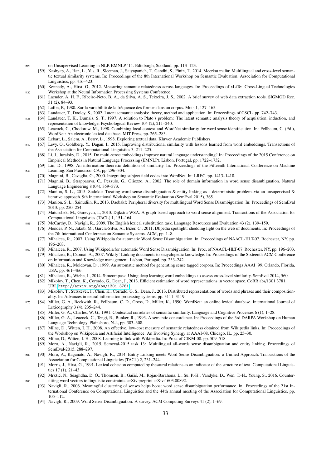<sup>1125</sup> on Unsupervised Learning in NLP. EMNLP '11. Edinburgh, Scotland, pp. 113–123.

- <span id="page-33-21"></span>[59] Kashyap, A., Han, L., Yus, R., Sleeman, J., Satyapanich, T., Gandhi, S., Finin, T., 2014. Meerkat mafia: Multilingual and cross-level semantic textual similarity systems. In: Proceedings of the 8th International Workshop on Semantic Evaluation. Association for Computational Linguistics, pp. 416–423.
- <span id="page-33-20"></span><span id="page-33-3"></span>[60] Kennedy, A., Hirst, G., 2012. Measuring semantic relatedness across languages. In: Proceedings of xLiTe: Cross-Lingual Technologies <sup>1130</sup> Workshop at the Neural Information Processing Systems Conference.
	- [61] Laender, A. H. F., Ribeiro-Neto, B. A., da Silva, A. S., Teixeira, J. S., 2002. A brief survey of web data extraction tools. SIGMOD Rec. 31 (2), 84–93.
	- [62] Lafon, P., 1980. Sur la variabilité de la fréquence des formes dans un corpus. Mots 1, 127–165.
	- [63] Landauer, T., Dooley, S., 2002. Latent semantic analysis: theory, method and application. In: Proceedings of CSCL. pp. 742–743.
- <span id="page-33-33"></span><span id="page-33-12"></span><span id="page-33-5"></span><span id="page-33-4"></span><sup>1135</sup> [64] Landauer, T. K., Dumais, S. T., 1997. A solution to Plato's problem: The latent semantic analysis theory of acquisition, induction, and representation of knowledge. Psychological Review 104 (2), 211–240.
	- [65] Leacock, C., Chodorow, M., 1998. Combining local context and WordNet similarity for word sense identification. In: Fellbaum, C. (Ed.), WordNet: An electronic lexical database. MIT Press, pp. 265–283.
	- [66] Lebart, L., Salem, A., Berry, L., 1998. Exploring textual data. Kluwer Academic Publishers.
- <span id="page-33-18"></span><span id="page-33-13"></span><span id="page-33-9"></span><sup>1140</sup> [67] Levy, O., Goldberg, Y., Dagan, I., 2015. Improving distributional similarity with lessons learned from word embeddings. Transactions of the Association for Computational Linguistics 3, 211–225.
	- [68] Li, J., Jurafsky, D., 2015. Do multi-sense embeddings improve natural language understanding? In: Proceedings of the 2015 Conference on Empirical Methods in Natural Language Processing (EMNLP). Lisbon, Portugal, pp. 1722–1732.
- <span id="page-33-25"></span><span id="page-33-17"></span>[69] Lin, D., 1998. An information-theoretic definition of similarity. In: Proceedings of the Fifteenth International Conference on Machine <sup>1145</sup> Learning. San Francisco, CA, pp. 296–304.
	- [70] Magnini, B., Cavaglia, G., 2000. Integrating subject field codes into WordNet. In: LREC. pp. 1413–1418.
	- [71] Magnini, B., Strapparava, C., Pezzulo, G., Gliozzo, A., 2002. The role of domain information in word sense disambiguation. Natural Language Engineering 8 (04), 359–373.
- <span id="page-33-35"></span><span id="page-33-28"></span><span id="page-33-26"></span>[72] Manion, S. L., 2015. Sudoku: Treating word sense disambiguation & entity linking as a deterministic problem–via an unsupervised & <sup>1150</sup> iterative approach. 9th International Workshop on Semantic Evaluation (SemEval 2015), 365.
	- [73] Manion, S. L., Sainudiin, R., 2013. Daebak!: Peripheral diversity for multilingual Word Sense Disambiguation. In: Proceedings of SemEval 2013. pp. 250–254.
	- [74] Matuschek, M., Gurevych, I., 2013. Dijkstra-WSA: A graph-based approach to word sense alignment. Transactions of the Association for Computational Linguistics (TACL) 1, 151–164.
- <span id="page-33-30"></span><span id="page-33-10"></span><span id="page-33-2"></span><sup>1155</sup> [75] McCarthy, D., Navigli, R., 2009. The English lexical substitution task. Language Resources and Evaluation 43 (2), 139–159.
	- [76] Mendes, P. N., Jakob, M., García-Silva, A., Bizer, C., 2011. Dbpedia spotlight: shedding light on the web of documents. In: Proceedings of the 7th International Conference on Semantic Systems. ACM, pp. 1–8.
	- [77] Mihalcea, R., 2007. Using Wikipedia for automatic Word Sense Disambiguation. In: Proceedings of NAACL-HLT-07. Rochester, NY, pp. 196–203.
- <span id="page-33-24"></span><span id="page-33-23"></span><span id="page-33-8"></span><sup>1160</sup> [78] Mihalcea, R., 2007. Using Wikipedia for automatic Word Sense Disambiguation. In: Proc. of NAACL-HLT-07. Rochester, NY, pp. 196–203. [79] Mihalcea, R., Csomai, A., 2007. Wikify! Linking documents to encyclopedic knowledge. In: Proceedings of the Sixteenth ACM Conference on Information and Knowledge management. Lisbon, Portugal, pp. 233–242.
	- [80] Mihalcea, R., Moldovan, D., 1999. An automatic method for generating sense tagged corpora. In: Proceedings AAAI '99. Orlando, Florida, USA, pp. 461–466.
- <span id="page-33-31"></span><span id="page-33-22"></span><span id="page-33-6"></span><sup>1165</sup> [81] Mihalcea, R., Wiebe, J., 2014. Simcompass: Using deep learning word embeddings to assess cross-level similarity. SemEval 2014, 560.
	- [82] Mikolov, T., Chen, K., Corrado, G., Dean, J., 2013. Efficient estimation of word representations in vector space. CoRR abs/1301.3781. URL <http://arxiv.org/abs/1301.3781>
		- [83] Mikolov, T., Sutskever, I., Chen, K., Corrado, G. S., Dean, J., 2013. Distributed representations of words and phrases and their compositionality. In: Advances in neural information processing systems. pp. 3111–3119.
- <span id="page-33-15"></span><span id="page-33-14"></span><span id="page-33-11"></span><sup>1170</sup> [84] Miller, G. A., Beckwith, R., Fellbaum, C. D., Gross, D., Miller, K., 1990. WordNet: an online lexical database. International Journal of Lexicography 3 (4), 235–244.
	- [85] Miller, G. A., Charles, W. G., 1991. Contextual correlates of semantic similarity. Language and Cognitive Processes 6 (1), 1–28.
	- [86] Miller, G. A., Leacock, C., Tengi, R., Bunker, R., 1993. A semantic concordance. In: Proceedings of the 3rd DARPA Workshop on Human Language Technology. Plainsboro, N.J., pp. 303–308.
- <span id="page-33-34"></span><span id="page-33-29"></span><span id="page-33-7"></span><sup>1175</sup> [87] Milne, D., Witten, I. H., 2008. An effective, low-cost measure of semantic relatedness obtained from Wikipedia links. In: Proceedings of the Workshop on Wikipedia and Artificial Intelligence: An Evolving Synergy at AAAI-08. Chicago, IL, pp. 25–30.
	- [88] Milne, D., Witten, I. H., 2008. Learning to link with Wikipedia. In: Proc. of CIKM-08. pp. 509–518.
	- [89] Moro, A., Navigli, R., 2015. Semeval-2015 task 13: Multilingual all-words sense disambiguation and entity linking. Proceedings of SemEval-2015, 288–297.
- <span id="page-33-32"></span><span id="page-33-27"></span><span id="page-33-16"></span><sup>1180</sup> [90] Moro, A., Raganato, A., Navigli, R., 2014. Entity Linking meets Word Sense Disambiguation: a Unified Approach. Transactions of the Association for Computational Linguistics (TACL) 2, 231–244.
	- [91] Morris, J., Hirst, G., 1991. Lexical cohesion computed by thesaural relations as an indicator of the structure of text. Computational Linguistics 17 (1), 21–43.
- <span id="page-33-19"></span><span id="page-33-1"></span><span id="page-33-0"></span>[92] Mrkšić, N., Séaghdha, D. Ó., Thomson, B., Gašić, M., Rojas-Barahona, L., Su, P.-H., Vandyke, D., Wen, T.-H., Young, S., 2016. Counter-<sup>1185</sup> fitting word vectors to linguistic constraints. arXiv preprint arXiv:1603.00892.
	- [93] Navigli, R., 2006. Meaningful clustering of senses helps boost word sense disambiguation performance. In: Proceedings of the 21st International Conference on Computational Linguistics and the 44th annual meeting of the Association for Computational Linguistics. pp. 105–112.
	- [94] Navigli, R., 2009. Word Sense Disambiguation: A survey. ACM Computing Surveys 41 (2), 1–69.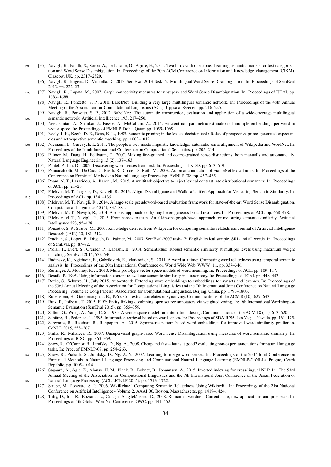- <span id="page-34-26"></span><sup>1190</sup> [95] Navigli, R., Faralli, S., Soroa, A., de Lacalle, O., Agirre, E., 2011. Two birds with one stone: Learning semantic models for text categorization and Word Sense Disambiguation. In: Proceedings of the 20th ACM Conference on Information and Knowledge Management (CIKM). Glasgow, UK, pp. 2317–2320.
	- [96] Navigli, R., Jurgens, D., Vannella, D., 2013. SemEval-2013 Task 12: Multilingual Word Sense Disambiguation. In: Proceedings of SemEval 2013. pp. 222–231.
- <span id="page-34-33"></span><span id="page-34-17"></span><span id="page-34-15"></span><sup>1195</sup> [97] Navigli, R., Lapata, M., 2007. Graph connectivity measures for unsupervised Word Sense Disambiguation. In: Proceedings of IJCAI. pp. 1683–1688.
	- [98] Navigli, R., Ponzetto, S. P., 2010. BabelNet: Building a very large multilingual semantic network. In: Proceedings of the 48th Annual Meeting of the Association for Computational Linguistics (ACL), Uppsala, Sweden. pp. 216–225.
- <span id="page-34-3"></span>[99] Navigli, R., Ponzetto, S. P., 2012. BabelNet: The automatic construction, evaluation and application of a wide-coverage multilingual <sup>1200</sup> semantic network. Artificial Intelligence 193, 217–250.
	- [100] Neelakantan, A., Shankar, J., Passos, A., McCallum, A., 2014. Efficient non-parametric estimation of multiple embeddings per word in vector space. In: Proceedings of EMNLP. Doha, Qatar, pp. 1059–1069.
- <span id="page-34-14"></span><span id="page-34-5"></span>[101] Neely, J. H., Keefe, D. E., Ross, K. L., 1989. Semantic priming in the lexical decision task: Roles of prospective prime-generated expectancies and retrospective semantic matching. pp. 1003–1019.
- <span id="page-34-24"></span><span id="page-34-2"></span><sup>1205</sup> [102] Niemann, E., Gurevych, I., 2011. The people's web meets linguistic knowledge: automatic sense alignment of Wikipedia and WordNet. In: Proceedings of the Ninth International Conference on Computational Semantics. pp. 205–214.
	- [103] Palmer, M., Dang, H., Fellbaum, C., 2007. Making fine-grained and coarse-grained sense distinctions, both manually and automatically. Natural Language Engineering 13 (2), 137–163.
	- [104] Pantel, P., Lin, D., 2002. Discovering word senses from text. In: Proceedings of KDD. pp. 613–619.
- <span id="page-34-21"></span><span id="page-34-8"></span><span id="page-34-7"></span><sup>1210</sup> [105] Pennacchiotti, M., De Cao, D., Basili, R., Croce, D., Roth, M., 2008. Automatic induction of FrameNet lexical units. In: Proceedings of the Conference on Empirical Methods in Natural Language Processing. EMNLP '08. pp. 457–465.
	- [106] Pham, N. T., Lazaridou, A., Baroni, M., 2015. A multitask objective to inject lexical contrast into distributional semantics. In: Proceedings of ACL. pp. 21–26.
- <span id="page-34-29"></span><span id="page-34-0"></span>[107] Pilehvar, M. T., Jurgens, D., Navigli, R., 2013. Align, Disambiguate and Walk: a Unified Approach for Measuring Semantic Similarity. In: <sup>1215</sup> Proceedings of ACL. pp. 1341–1351.
	- [108] Pilehvar, M. T., Navigli, R., 2014. A large-scale pseudoword-based evaluation framework for state-of-the-art Word Sense Disambiguation. Computational Linguistics 40 (4), 837–881.
	- [109] Pilehvar, M. T., Navigli, R., 2014. A robust approach to aligning heterogeneous lexical resources. In: Proceedings of ACL. pp. 468–478.
- <span id="page-34-31"></span><span id="page-34-22"></span><span id="page-34-4"></span>[110] Pilehvar, M. T., Navigli, R., 2015. From senses to texts: An all-in-one graph-based approach for measuring semantic similarity. Artificial <sup>1220</sup> Intelligence 228, 95–128.
	- [111] Ponzetto, S. P., Strube, M., 2007. Knowledge derived from Wikipedia for computing semantic relatedness. Journal of Artificial Intelligence Research (JAIR) 30, 181–212.
	- [112] Pradhan, S., Loper, E., Dligach, D., Palmer, M., 2007. SemEval-2007 task-17: English lexical sample, SRL and all words. In: Proceedings of SemEval. pp. 87–92.
- <span id="page-34-23"></span><span id="page-34-18"></span><span id="page-34-6"></span><sup>1225</sup> [113] Proisl, T., Evert, S., Greiner, P., Kabashi, B., 2014. Semantiklue: Robust semantic similarity at multiple levels using maximum weight matching. SemEval 2014, 532–540.
	- [114] Radinsky, K., Agichtein, E., Gabrilovich, E., Markovitch, S., 2011. A word at a time: Computing word relatedness using temporal semantic analysis. In: Proceedings of the 20th International Conference on World Wide Web. WWW '11. pp. 337–346.
- <span id="page-34-19"></span><span id="page-34-11"></span>[115] Reisinger, J., Mooney, R. J., 2010. Multi-prototype vector-space models of word meaning. In: Proceedings of ACL. pp. 109–117.
- <span id="page-34-12"></span><sup>1230</sup> [116] Resnik, P., 1995. Using information content to evaluate semantic similarity in a taxonomy. In: Proceedings of IJCAI. pp. 448–453.
	- [117] Rothe, S., Schutze, H., July 2015. Autoextend: Extending word embeddings to embeddings for synsets and lexemes. In: Proceedings of ¨ the 53rd Annual Meeting of the Association for Computational Linguistics and the 7th International Joint Conference on Natural Language Processing (Volume 1: Long Papers). Association for Computational Linguistics, Beijing, China, pp. 1793–1803.
	- [118] Rubenstein, H., Goodenough, J. B., 1965. Contextual correlates of synonymy. Communications of the ACM 8 (10), 627–633.
- <span id="page-34-28"></span><span id="page-34-16"></span><span id="page-34-9"></span><sup>1235</sup> [119] Ruiz, P., Poibeau, T., 2015. El92: Entity linking combining open source annotators via weighted voting. In: 9th International Workshop on Semantic Evaluation (SemEval 2015). pp. 355–359.
	- [120] Salton, G., Wong, A., Yang, C. S., 1975. A vector space model for automatic indexing. Communications of the ACM 18 (11), 613–620.
	- [121] Schutze, H., Pedersen, J., 1995. Information retrieval based on word senses. In: Proceedings of SDAIR'95. Las Vegas, Nevada, pp. 161–175. ¨
- <span id="page-34-32"></span><span id="page-34-27"></span><span id="page-34-20"></span>[122] Schwartz, R., Reichart, R., Rappoport, A., 2015. Symmetric pattern based word embeddings for improved word similarity prediction. <sup>1240</sup> CoNLL 2015, 258–267.
	- [123] Sinha, R., Mihalcea, R., 2007. Unsupervised graph-based Word Sense Disambiguation using measures of word semantic similarity. In: Proceedings of ICSC. pp. 363–369.
	- [124] Snow, R., O'Connor, B., Jurafsky, D., Ng, A., 2008. Cheap and fast but is it good? evaluating non-expert annotations for natural language tasks. In: Proc. of EMNLP-08. pp. 254–263.
- <span id="page-34-10"></span><span id="page-34-1"></span><sup>1245</sup> [125] Snow, R., Prakash, S., Jurafsky, D., Ng, A. Y., 2007. Learning to merge word senses. In: Proceedings of the 2007 Joint Conference on Empirical Methods in Natural Language Processing and Computational Natural Language Learning (EMNLP-CoNLL). Prague, Czech Republic, pp. 1005–1014.
- <span id="page-34-30"></span><span id="page-34-25"></span><span id="page-34-13"></span>[126] Søgaard, A., Agić, Ž., Alonso, H. M., Plank, B., Bohnet, B., Johannsen, A., 2015. Inverted indexing for cross-lingual NLP. In: The 53rd Annual Meeting of the Association for Computational Linguistics and the 7th International Joint Conference of the Asian Federation of <sup>1250</sup> Natural Language Processing (ACL-IJCNLP 2015). pp. 1713–1722.
	- [127] Strube, M., Ponzetto, S. P., 2006. WikiRelate! Computing Semantic Relatedness Using Wikipedia. In: Proceedings of the 21st National Conference on Artificial Intelligence - Volume 2. AAAI'06. Boston, Massachusetts, pp. 1419–1424.
	- [128] Tufiş, D., Ion, R., Bozianu, L., Ceauşu, A., Ştefănescu, D., 2008. Romanian wordnet: Current state, new applications and prospects. In: Proceedings of 4th Global WordNet Conference, GWC. pp. 441–452.